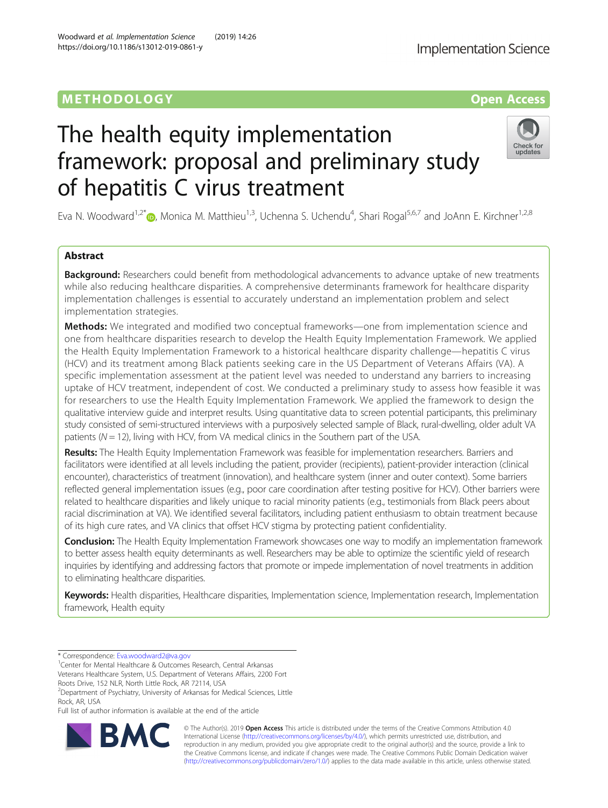# METHODOLOGY CONTROL CONTROL CONTROL CONTROL CONTROL CONTROL CONTROL CONTROL CONTROL CONTROL CONTROL CONTROL CO

# The health equity implementation framework: proposal and preliminary study of hepatitis C virus treatment

Eva N. Woodward<sup>1,2[\\*](http://orcid.org/0000-0002-7880-0054)</sup>®, Monica M. Matthieu<sup>1,3</sup>, Uchenna S. Uchendu<sup>4</sup>, Shari Rogal<sup>5,6,7</sup> and JoAnn E. Kirchner<sup>1,2,8</sup>

# Abstract

**Background:** Researchers could benefit from methodological advancements to advance uptake of new treatments while also reducing healthcare disparities. A comprehensive determinants framework for healthcare disparity implementation challenges is essential to accurately understand an implementation problem and select implementation strategies.

Methods: We integrated and modified two conceptual frameworks—one from implementation science and one from healthcare disparities research to develop the Health Equity Implementation Framework. We applied the Health Equity Implementation Framework to a historical healthcare disparity challenge—hepatitis C virus (HCV) and its treatment among Black patients seeking care in the US Department of Veterans Affairs (VA). A specific implementation assessment at the patient level was needed to understand any barriers to increasing uptake of HCV treatment, independent of cost. We conducted a preliminary study to assess how feasible it was for researchers to use the Health Equity Implementation Framework. We applied the framework to design the qualitative interview guide and interpret results. Using quantitative data to screen potential participants, this preliminary study consisted of semi-structured interviews with a purposively selected sample of Black, rural-dwelling, older adult VA patients ( $N = 12$ ), living with HCV, from VA medical clinics in the Southern part of the USA.

Results: The Health Equity Implementation Framework was feasible for implementation researchers. Barriers and facilitators were identified at all levels including the patient, provider (recipients), patient-provider interaction (clinical encounter), characteristics of treatment (innovation), and healthcare system (inner and outer context). Some barriers reflected general implementation issues (e.g., poor care coordination after testing positive for HCV). Other barriers were related to healthcare disparities and likely unique to racial minority patients (e.g., testimonials from Black peers about racial discrimination at VA). We identified several facilitators, including patient enthusiasm to obtain treatment because of its high cure rates, and VA clinics that offset HCV stigma by protecting patient confidentiality.

Conclusion: The Health Equity Implementation Framework showcases one way to modify an implementation framework to better assess health equity determinants as well. Researchers may be able to optimize the scientific yield of research inquiries by identifying and addressing factors that promote or impede implementation of novel treatments in addition to eliminating healthcare disparities.

Keywords: Health disparities, Healthcare disparities, Implementation science, Implementation research, Implementation framework, Health equity

<sup>1</sup> Center for Mental Healthcare & Outcomes Research, Central Arkansas Veterans Healthcare System, U.S. Department of Veterans Affairs, 2200 Fort

Roots Drive, 152 NLR, North Little Rock, AR 72114, USA

<sup>2</sup>Department of Psychiatry, University of Arkansas for Medical Sciences, Little Rock, AR, USA

Full list of author information is available at the end of the article

© The Author(s). 2019 **Open Access** This article is distributed under the terms of the Creative Commons Attribution 4.0 International License [\(http://creativecommons.org/licenses/by/4.0/](http://creativecommons.org/licenses/by/4.0/)), which permits unrestricted use, distribution, and reproduction in any medium, provided you give appropriate credit to the original author(s) and the source, provide a link to the Creative Commons license, and indicate if changes were made. The Creative Commons Public Domain Dedication waiver [\(http://creativecommons.org/publicdomain/zero/1.0/](http://creativecommons.org/publicdomain/zero/1.0/)) applies to the data made available in this article, unless otherwise stated.





updates

<sup>\*</sup> Correspondence: [Eva.woodward2@va.gov](mailto:Eva.woodward2@va.gov) <sup>1</sup>

Woodward et al. Implementation Science (2019) 14:26 https://doi.org/10.1186/s13012-019-0861-y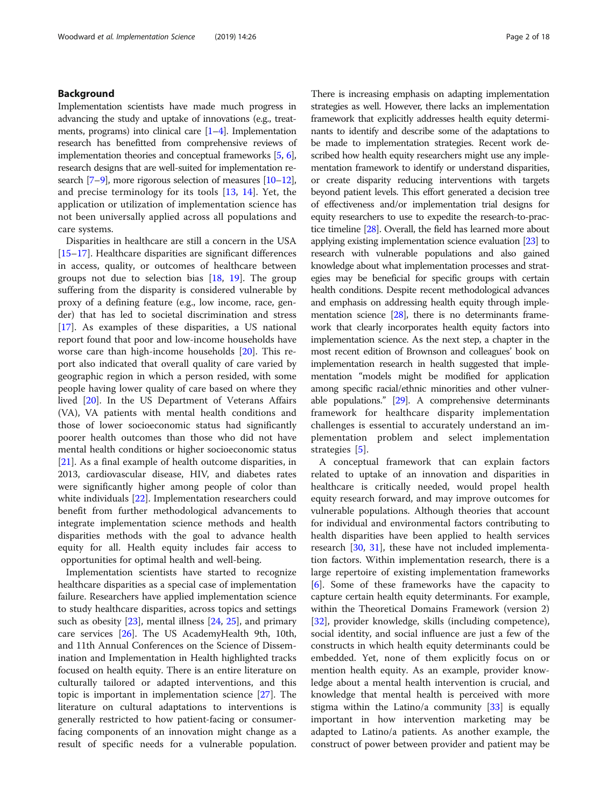# Background

Implementation scientists have made much progress in advancing the study and uptake of innovations (e.g., treatments, programs) into clinical care  $[1-4]$  $[1-4]$  $[1-4]$  $[1-4]$ . Implementation research has benefitted from comprehensive reviews of implementation theories and conceptual frameworks [\[5,](#page-15-0) [6](#page-15-0)], research designs that are well-suited for implementation research [[7](#page-15-0)–[9\]](#page-15-0), more rigorous selection of measures [[10](#page-15-0)–[12](#page-15-0)], and precise terminology for its tools [\[13](#page-15-0), [14\]](#page-15-0). Yet, the application or utilization of implementation science has not been universally applied across all populations and care systems.

Disparities in healthcare are still a concern in the USA [[15](#page-15-0)–[17](#page-15-0)]. Healthcare disparities are significant differences in access, quality, or outcomes of healthcare between groups not due to selection bias [[18](#page-15-0), [19\]](#page-15-0). The group suffering from the disparity is considered vulnerable by proxy of a defining feature (e.g., low income, race, gender) that has led to societal discrimination and stress [[17\]](#page-15-0). As examples of these disparities, a US national report found that poor and low-income households have worse care than high-income households [\[20](#page-15-0)]. This report also indicated that overall quality of care varied by geographic region in which a person resided, with some people having lower quality of care based on where they lived [\[20](#page-15-0)]. In the US Department of Veterans Affairs (VA), VA patients with mental health conditions and those of lower socioeconomic status had significantly poorer health outcomes than those who did not have mental health conditions or higher socioeconomic status [[21\]](#page-15-0). As a final example of health outcome disparities, in 2013, cardiovascular disease, HIV, and diabetes rates were significantly higher among people of color than white individuals [\[22](#page-15-0)]. Implementation researchers could benefit from further methodological advancements to integrate implementation science methods and health disparities methods with the goal to advance health equity for all. Health equity includes fair access to opportunities for optimal health and well-being.

Implementation scientists have started to recognize healthcare disparities as a special case of implementation failure. Researchers have applied implementation science to study healthcare disparities, across topics and settings such as obesity [\[23](#page-15-0)], mental illness [[24](#page-15-0), [25\]](#page-15-0), and primary care services [\[26](#page-15-0)]. The US AcademyHealth 9th, 10th, and 11th Annual Conferences on the Science of Dissemination and Implementation in Health highlighted tracks focused on health equity. There is an entire literature on culturally tailored or adapted interventions, and this topic is important in implementation science [[27\]](#page-15-0). The literature on cultural adaptations to interventions is generally restricted to how patient-facing or consumerfacing components of an innovation might change as a result of specific needs for a vulnerable population.

There is increasing emphasis on adapting implementation strategies as well. However, there lacks an implementation framework that explicitly addresses health equity determinants to identify and describe some of the adaptations to be made to implementation strategies. Recent work described how health equity researchers might use any implementation framework to identify or understand disparities, or create disparity reducing interventions with targets beyond patient levels. This effort generated a decision tree of effectiveness and/or implementation trial designs for equity researchers to use to expedite the research-to-practice timeline [\[28\]](#page-15-0). Overall, the field has learned more about applying existing implementation science evaluation [\[23\]](#page-15-0) to research with vulnerable populations and also gained knowledge about what implementation processes and strategies may be beneficial for specific groups with certain health conditions. Despite recent methodological advances and emphasis on addressing health equity through implementation science [[28](#page-15-0)], there is no determinants framework that clearly incorporates health equity factors into implementation science. As the next step, a chapter in the most recent edition of Brownson and colleagues' book on implementation research in health suggested that implementation "models might be modified for application among specific racial/ethnic minorities and other vulnerable populations." [\[29\]](#page-15-0). A comprehensive determinants framework for healthcare disparity implementation challenges is essential to accurately understand an implementation problem and select implementation strategies [[5\]](#page-15-0).

A conceptual framework that can explain factors related to uptake of an innovation and disparities in healthcare is critically needed, would propel health equity research forward, and may improve outcomes for vulnerable populations. Although theories that account for individual and environmental factors contributing to health disparities have been applied to health services research [\[30,](#page-15-0) [31](#page-15-0)], these have not included implementation factors. Within implementation research, there is a large repertoire of existing implementation frameworks [[6\]](#page-15-0). Some of these frameworks have the capacity to capture certain health equity determinants. For example, within the Theoretical Domains Framework (version 2) [[32\]](#page-15-0), provider knowledge, skills (including competence), social identity, and social influence are just a few of the constructs in which health equity determinants could be embedded. Yet, none of them explicitly focus on or mention health equity. As an example, provider knowledge about a mental health intervention is crucial, and knowledge that mental health is perceived with more stigma within the Latino/a community [\[33\]](#page-16-0) is equally important in how intervention marketing may be adapted to Latino/a patients. As another example, the construct of power between provider and patient may be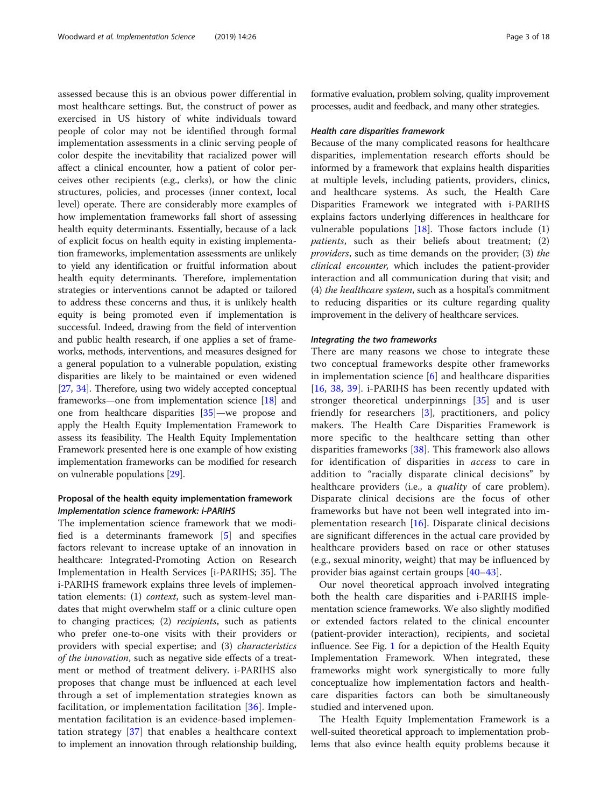assessed because this is an obvious power differential in most healthcare settings. But, the construct of power as exercised in US history of white individuals toward people of color may not be identified through formal implementation assessments in a clinic serving people of color despite the inevitability that racialized power will affect a clinical encounter, how a patient of color perceives other recipients (e.g., clerks), or how the clinic structures, policies, and processes (inner context, local level) operate. There are considerably more examples of how implementation frameworks fall short of assessing health equity determinants. Essentially, because of a lack of explicit focus on health equity in existing implementation frameworks, implementation assessments are unlikely to yield any identification or fruitful information about health equity determinants. Therefore, implementation strategies or interventions cannot be adapted or tailored to address these concerns and thus, it is unlikely health equity is being promoted even if implementation is successful. Indeed, drawing from the field of intervention and public health research, if one applies a set of frameworks, methods, interventions, and measures designed for a general population to a vulnerable population, existing disparities are likely to be maintained or even widened [[27](#page-15-0), [34](#page-16-0)]. Therefore, using two widely accepted conceptual frameworks—one from implementation science [[18](#page-15-0)] and one from healthcare disparities [\[35\]](#page-16-0)—we propose and apply the Health Equity Implementation Framework to assess its feasibility. The Health Equity Implementation Framework presented here is one example of how existing implementation frameworks can be modified for research on vulnerable populations [\[29\]](#page-15-0).

# Proposal of the health equity implementation framework Implementation science framework: i-PARIHS

The implementation science framework that we modified is a determinants framework [\[5](#page-15-0)] and specifies factors relevant to increase uptake of an innovation in healthcare: Integrated-Promoting Action on Research Implementation in Health Services [i-PARIHS; 35]. The i-PARIHS framework explains three levels of implementation elements: (1) context, such as system-level mandates that might overwhelm staff or a clinic culture open to changing practices; (2) recipients, such as patients who prefer one-to-one visits with their providers or providers with special expertise; and (3) characteristics of the innovation, such as negative side effects of a treatment or method of treatment delivery. i-PARIHS also proposes that change must be influenced at each level through a set of implementation strategies known as facilitation, or implementation facilitation [\[36](#page-16-0)]. Implementation facilitation is an evidence-based implementation strategy [[37](#page-16-0)] that enables a healthcare context to implement an innovation through relationship building,

formative evaluation, problem solving, quality improvement processes, audit and feedback, and many other strategies.

#### Health care disparities framework

Because of the many complicated reasons for healthcare disparities, implementation research efforts should be informed by a framework that explains health disparities at multiple levels, including patients, providers, clinics, and healthcare systems. As such, the Health Care Disparities Framework we integrated with i-PARIHS explains factors underlying differences in healthcare for vulnerable populations [[18\]](#page-15-0). Those factors include (1) patients, such as their beliefs about treatment; (2) providers, such as time demands on the provider; (3) the clinical encounter, which includes the patient-provider interaction and all communication during that visit; and (4) the healthcare system, such as a hospital's commitment to reducing disparities or its culture regarding quality improvement in the delivery of healthcare services.

# Integrating the two frameworks

There are many reasons we chose to integrate these two conceptual frameworks despite other frameworks in implementation science  $[6]$  $[6]$  and healthcare disparities [[16,](#page-15-0) [38](#page-16-0), [39](#page-16-0)]. i-PARIHS has been recently updated with stronger theoretical underpinnings [[35\]](#page-16-0) and is user friendly for researchers [[3\]](#page-15-0), practitioners, and policy makers. The Health Care Disparities Framework is more specific to the healthcare setting than other disparities frameworks [\[38](#page-16-0)]. This framework also allows for identification of disparities in access to care in addition to "racially disparate clinical decisions" by healthcare providers (i.e., a *quality* of care problem). Disparate clinical decisions are the focus of other frameworks but have not been well integrated into implementation research [[16\]](#page-15-0). Disparate clinical decisions are significant differences in the actual care provided by healthcare providers based on race or other statuses (e.g., sexual minority, weight) that may be influenced by provider bias against certain groups [\[40](#page-16-0)–[43](#page-16-0)].

Our novel theoretical approach involved integrating both the health care disparities and i-PARIHS implementation science frameworks. We also slightly modified or extended factors related to the clinical encounter (patient-provider interaction), recipients, and societal influence. See Fig. [1](#page-3-0) for a depiction of the Health Equity Implementation Framework. When integrated, these frameworks might work synergistically to more fully conceptualize how implementation factors and healthcare disparities factors can both be simultaneously studied and intervened upon.

The Health Equity Implementation Framework is a well-suited theoretical approach to implementation problems that also evince health equity problems because it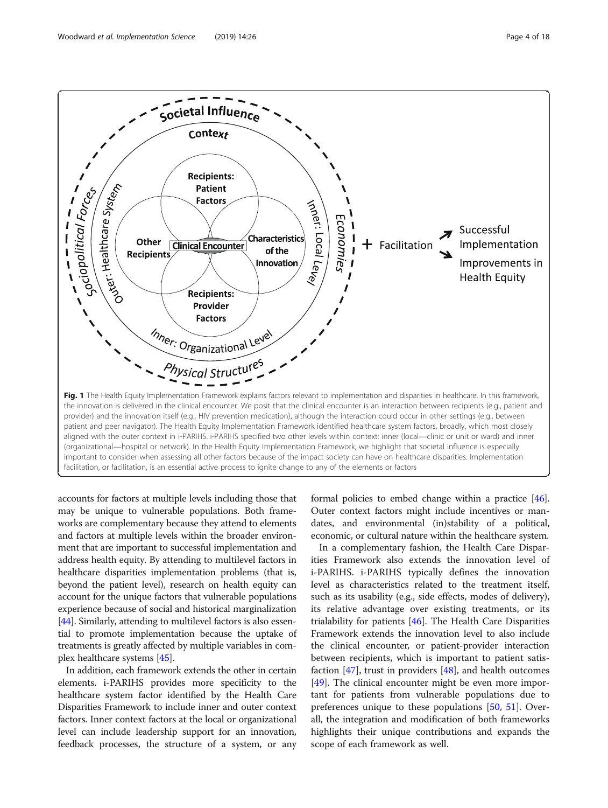<span id="page-3-0"></span>

accounts for factors at multiple levels including those that may be unique to vulnerable populations. Both frameworks are complementary because they attend to elements and factors at multiple levels within the broader environment that are important to successful implementation and address health equity. By attending to multilevel factors in healthcare disparities implementation problems (that is, beyond the patient level), research on health equity can account for the unique factors that vulnerable populations experience because of social and historical marginalization [[44](#page-16-0)]. Similarly, attending to multilevel factors is also essential to promote implementation because the uptake of treatments is greatly affected by multiple variables in complex healthcare systems [\[45\]](#page-16-0).

In addition, each framework extends the other in certain elements. i-PARIHS provides more specificity to the healthcare system factor identified by the Health Care Disparities Framework to include inner and outer context factors. Inner context factors at the local or organizational level can include leadership support for an innovation, feedback processes, the structure of a system, or any

formal policies to embed change within a practice [[46](#page-16-0)]. Outer context factors might include incentives or mandates, and environmental (in)stability of a political, economic, or cultural nature within the healthcare system.

In a complementary fashion, the Health Care Disparities Framework also extends the innovation level of i-PARIHS. i-PARIHS typically defines the innovation level as characteristics related to the treatment itself, such as its usability (e.g., side effects, modes of delivery), its relative advantage over existing treatments, or its trialability for patients [\[46](#page-16-0)]. The Health Care Disparities Framework extends the innovation level to also include the clinical encounter, or patient-provider interaction between recipients, which is important to patient satisfaction  $[47]$  $[47]$ , trust in providers  $[48]$  $[48]$  $[48]$ , and health outcomes [[49\]](#page-16-0). The clinical encounter might be even more important for patients from vulnerable populations due to preferences unique to these populations [[50,](#page-16-0) [51\]](#page-16-0). Overall, the integration and modification of both frameworks highlights their unique contributions and expands the scope of each framework as well.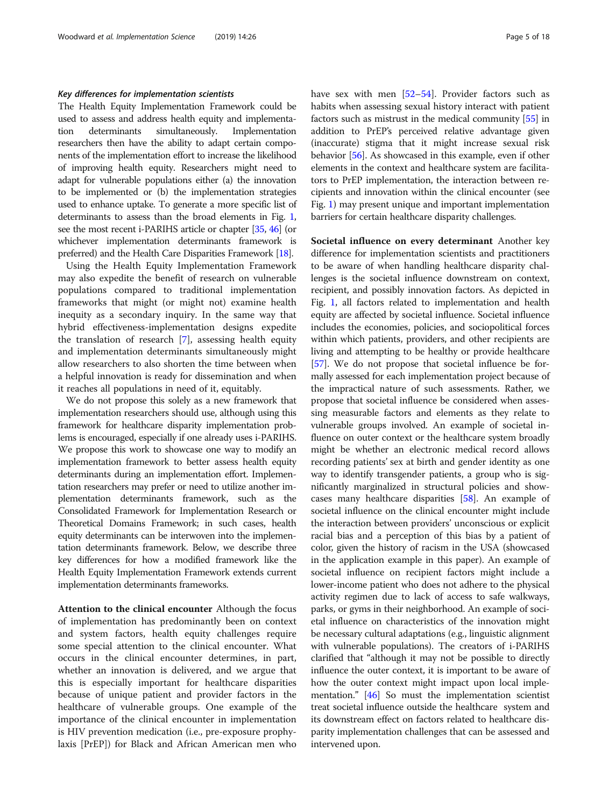# Key differences for implementation scientists

The Health Equity Implementation Framework could be used to assess and address health equity and implementation determinants simultaneously. Implementation researchers then have the ability to adapt certain components of the implementation effort to increase the likelihood of improving health equity. Researchers might need to adapt for vulnerable populations either (a) the innovation to be implemented or (b) the implementation strategies used to enhance uptake. To generate a more specific list of determinants to assess than the broad elements in Fig. [1](#page-3-0), see the most recent i-PARIHS article or chapter [[35](#page-16-0), [46](#page-16-0)] (or whichever implementation determinants framework is preferred) and the Health Care Disparities Framework [\[18\]](#page-15-0).

Using the Health Equity Implementation Framework may also expedite the benefit of research on vulnerable populations compared to traditional implementation frameworks that might (or might not) examine health inequity as a secondary inquiry. In the same way that hybrid effectiveness-implementation designs expedite the translation of research [\[7](#page-15-0)], assessing health equity and implementation determinants simultaneously might allow researchers to also shorten the time between when a helpful innovation is ready for dissemination and when it reaches all populations in need of it, equitably.

We do not propose this solely as a new framework that implementation researchers should use, although using this framework for healthcare disparity implementation problems is encouraged, especially if one already uses i-PARIHS. We propose this work to showcase one way to modify an implementation framework to better assess health equity determinants during an implementation effort. Implementation researchers may prefer or need to utilize another implementation determinants framework, such as the Consolidated Framework for Implementation Research or Theoretical Domains Framework; in such cases, health equity determinants can be interwoven into the implementation determinants framework. Below, we describe three key differences for how a modified framework like the Health Equity Implementation Framework extends current implementation determinants frameworks.

Attention to the clinical encounter Although the focus of implementation has predominantly been on context and system factors, health equity challenges require some special attention to the clinical encounter. What occurs in the clinical encounter determines, in part, whether an innovation is delivered, and we argue that this is especially important for healthcare disparities because of unique patient and provider factors in the healthcare of vulnerable groups. One example of the importance of the clinical encounter in implementation is HIV prevention medication (i.e., pre-exposure prophylaxis [PrEP]) for Black and African American men who have sex with men [[52](#page-16-0)-[54](#page-16-0)]. Provider factors such as habits when assessing sexual history interact with patient factors such as mistrust in the medical community [\[55\]](#page-16-0) in addition to PrEP's perceived relative advantage given (inaccurate) stigma that it might increase sexual risk behavior [\[56\]](#page-16-0). As showcased in this example, even if other elements in the context and healthcare system are facilitators to PrEP implementation, the interaction between recipients and innovation within the clinical encounter (see Fig. [1](#page-3-0)) may present unique and important implementation barriers for certain healthcare disparity challenges.

Societal influence on every determinant Another key difference for implementation scientists and practitioners to be aware of when handling healthcare disparity challenges is the societal influence downstream on context, recipient, and possibly innovation factors. As depicted in Fig. [1,](#page-3-0) all factors related to implementation and health equity are affected by societal influence. Societal influence includes the economies, policies, and sociopolitical forces within which patients, providers, and other recipients are living and attempting to be healthy or provide healthcare [[57](#page-16-0)]. We do not propose that societal influence be formally assessed for each implementation project because of the impractical nature of such assessments. Rather, we propose that societal influence be considered when assessing measurable factors and elements as they relate to vulnerable groups involved. An example of societal influence on outer context or the healthcare system broadly might be whether an electronic medical record allows recording patients' sex at birth and gender identity as one way to identify transgender patients, a group who is significantly marginalized in structural policies and showcases many healthcare disparities [[58](#page-16-0)]. An example of societal influence on the clinical encounter might include the interaction between providers' unconscious or explicit racial bias and a perception of this bias by a patient of color, given the history of racism in the USA (showcased in the application example in this paper). An example of societal influence on recipient factors might include a lower-income patient who does not adhere to the physical activity regimen due to lack of access to safe walkways, parks, or gyms in their neighborhood. An example of societal influence on characteristics of the innovation might be necessary cultural adaptations (e.g., linguistic alignment with vulnerable populations). The creators of i-PARIHS clarified that "although it may not be possible to directly influence the outer context, it is important to be aware of how the outer context might impact upon local implementation." [[46](#page-16-0)] So must the implementation scientist treat societal influence outside the healthcare system and its downstream effect on factors related to healthcare disparity implementation challenges that can be assessed and intervened upon.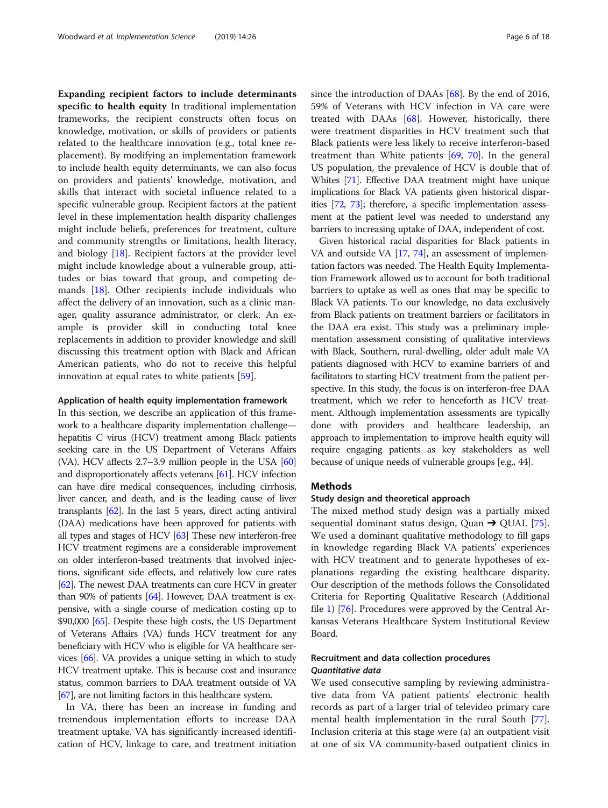Expanding recipient factors to include determinants specific to health equity In traditional implementation frameworks, the recipient constructs often focus on knowledge, motivation, or skills of providers or patients related to the healthcare innovation (e.g., total knee replacement). By modifying an implementation framework to include health equity determinants, we can also focus on providers and patients' knowledge, motivation, and skills that interact with societal influence related to a specific vulnerable group. Recipient factors at the patient level in these implementation health disparity challenges might include beliefs, preferences for treatment, culture and community strengths or limitations, health literacy, and biology [\[18](#page-15-0)]. Recipient factors at the provider level might include knowledge about a vulnerable group, attitudes or bias toward that group, and competing demands [\[18](#page-15-0)]. Other recipients include individuals who affect the delivery of an innovation, such as a clinic manager, quality assurance administrator, or clerk. An example is provider skill in conducting total knee replacements in addition to provider knowledge and skill discussing this treatment option with Black and African American patients, who do not to receive this helpful innovation at equal rates to white patients [[59\]](#page-16-0).

## Application of health equity implementation framework

In this section, we describe an application of this framework to a healthcare disparity implementation challenge hepatitis C virus (HCV) treatment among Black patients seeking care in the US Department of Veterans Affairs (VA). HCV affects 2.7–3.9 million people in the USA [\[60](#page-16-0)] and disproportionately affects veterans [[61](#page-16-0)]. HCV infection can have dire medical consequences, including cirrhosis, liver cancer, and death, and is the leading cause of liver transplants  $[62]$  $[62]$  $[62]$ . In the last 5 years, direct acting antiviral (DAA) medications have been approved for patients with all types and stages of HCV [[63](#page-16-0)] These new interferon-free HCV treatment regimens are a considerable improvement on older interferon-based treatments that involved injections, significant side effects, and relatively low cure rates [[62](#page-16-0)]. The newest DAA treatments can cure HCV in greater than 90% of patients [\[64\]](#page-16-0). However, DAA treatment is expensive, with a single course of medication costing up to \$90,000 [\[65\]](#page-16-0). Despite these high costs, the US Department of Veterans Affairs (VA) funds HCV treatment for any beneficiary with HCV who is eligible for VA healthcare services [\[66](#page-16-0)]. VA provides a unique setting in which to study HCV treatment uptake. This is because cost and insurance status, common barriers to DAA treatment outside of VA [[67](#page-16-0)], are not limiting factors in this healthcare system.

In VA, there has been an increase in funding and tremendous implementation efforts to increase DAA treatment uptake. VA has significantly increased identification of HCV, linkage to care, and treatment initiation since the introduction of DAAs [\[68](#page-16-0)]. By the end of 2016, 59% of Veterans with HCV infection in VA care were treated with DAAs [\[68](#page-16-0)]. However, historically, there were treatment disparities in HCV treatment such that Black patients were less likely to receive interferon-based treatment than White patients  $[69, 70]$  $[69, 70]$  $[69, 70]$  $[69, 70]$ . In the general US population, the prevalence of HCV is double that of Whites [[71](#page-16-0)]. Effective DAA treatment might have unique implications for Black VA patients given historical disparities [[72](#page-16-0), [73\]](#page-16-0); therefore, a specific implementation assessment at the patient level was needed to understand any barriers to increasing uptake of DAA, independent of cost.

Given historical racial disparities for Black patients in VA and outside VA [\[17,](#page-15-0) [74\]](#page-16-0), an assessment of implementation factors was needed. The Health Equity Implementation Framework allowed us to account for both traditional barriers to uptake as well as ones that may be specific to Black VA patients. To our knowledge, no data exclusively from Black patients on treatment barriers or facilitators in the DAA era exist. This study was a preliminary implementation assessment consisting of qualitative interviews with Black, Southern, rural-dwelling, older adult male VA patients diagnosed with HCV to examine barriers of and facilitators to starting HCV treatment from the patient perspective. In this study, the focus is on interferon-free DAA treatment, which we refer to henceforth as HCV treatment. Although implementation assessments are typically done with providers and healthcare leadership, an approach to implementation to improve health equity will require engaging patients as key stakeholders as well because of unique needs of vulnerable groups [e.g., 44].

# Methods

## Study design and theoretical approach

The mixed method study design was a partially mixed sequential dominant status design, Quan  $\rightarrow$  QUAL [\[75](#page-16-0)]. We used a dominant qualitative methodology to fill gaps in knowledge regarding Black VA patients' experiences with HCV treatment and to generate hypotheses of explanations regarding the existing healthcare disparity. Our description of the methods follows the Consolidated Criteria for Reporting Qualitative Research (Additional file [1\)](#page-14-0) [\[76\]](#page-16-0). Procedures were approved by the Central Arkansas Veterans Healthcare System Institutional Review Board.

# Recruitment and data collection procedures Quantitative data

We used consecutive sampling by reviewing administrative data from VA patient patients' electronic health records as part of a larger trial of televideo primary care mental health implementation in the rural South [\[77](#page-16-0)]. Inclusion criteria at this stage were (a) an outpatient visit at one of six VA community-based outpatient clinics in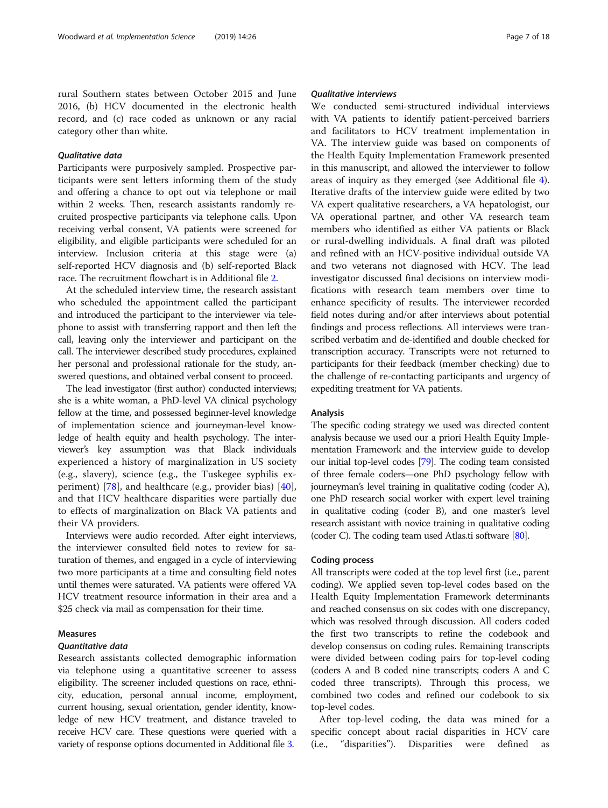rural Southern states between October 2015 and June 2016, (b) HCV documented in the electronic health record, and (c) race coded as unknown or any racial category other than white.

# Qualitative data

Participants were purposively sampled. Prospective participants were sent letters informing them of the study and offering a chance to opt out via telephone or mail within 2 weeks. Then, research assistants randomly recruited prospective participants via telephone calls. Upon receiving verbal consent, VA patients were screened for eligibility, and eligible participants were scheduled for an interview. Inclusion criteria at this stage were (a) self-reported HCV diagnosis and (b) self-reported Black race. The recruitment flowchart is in Additional file [2](#page-14-0).

At the scheduled interview time, the research assistant who scheduled the appointment called the participant and introduced the participant to the interviewer via telephone to assist with transferring rapport and then left the call, leaving only the interviewer and participant on the call. The interviewer described study procedures, explained her personal and professional rationale for the study, answered questions, and obtained verbal consent to proceed.

The lead investigator (first author) conducted interviews; she is a white woman, a PhD-level VA clinical psychology fellow at the time, and possessed beginner-level knowledge of implementation science and journeyman-level knowledge of health equity and health psychology. The interviewer's key assumption was that Black individuals experienced a history of marginalization in US society (e.g., slavery), science (e.g., the Tuskegee syphilis experiment) [\[78](#page-17-0)], and healthcare (e.g., provider bias) [\[40](#page-16-0)], and that HCV healthcare disparities were partially due to effects of marginalization on Black VA patients and their VA providers.

Interviews were audio recorded. After eight interviews, the interviewer consulted field notes to review for saturation of themes, and engaged in a cycle of interviewing two more participants at a time and consulting field notes until themes were saturated. VA patients were offered VA HCV treatment resource information in their area and a \$25 check via mail as compensation for their time.

# Measures

# Quantitative data

Research assistants collected demographic information via telephone using a quantitative screener to assess eligibility. The screener included questions on race, ethnicity, education, personal annual income, employment, current housing, sexual orientation, gender identity, knowledge of new HCV treatment, and distance traveled to receive HCV care. These questions were queried with a variety of response options documented in Additional file [3](#page-14-0).

# Qualitative interviews

We conducted semi-structured individual interviews with VA patients to identify patient-perceived barriers and facilitators to HCV treatment implementation in VA. The interview guide was based on components of the Health Equity Implementation Framework presented in this manuscript, and allowed the interviewer to follow areas of inquiry as they emerged (see Additional file [4](#page-14-0)). Iterative drafts of the interview guide were edited by two VA expert qualitative researchers, a VA hepatologist, our VA operational partner, and other VA research team members who identified as either VA patients or Black or rural-dwelling individuals. A final draft was piloted and refined with an HCV-positive individual outside VA and two veterans not diagnosed with HCV. The lead investigator discussed final decisions on interview modifications with research team members over time to enhance specificity of results. The interviewer recorded field notes during and/or after interviews about potential findings and process reflections. All interviews were transcribed verbatim and de-identified and double checked for transcription accuracy. Transcripts were not returned to participants for their feedback (member checking) due to the challenge of re-contacting participants and urgency of expediting treatment for VA patients.

# Analysis

The specific coding strategy we used was directed content analysis because we used our a priori Health Equity Implementation Framework and the interview guide to develop our initial top-level codes [[79](#page-17-0)]. The coding team consisted of three female coders—one PhD psychology fellow with journeyman's level training in qualitative coding (coder A), one PhD research social worker with expert level training in qualitative coding (coder B), and one master's level research assistant with novice training in qualitative coding (coder C). The coding team used Atlas.ti software [\[80\]](#page-17-0).

# Coding process

All transcripts were coded at the top level first (i.e., parent coding). We applied seven top-level codes based on the Health Equity Implementation Framework determinants and reached consensus on six codes with one discrepancy, which was resolved through discussion. All coders coded the first two transcripts to refine the codebook and develop consensus on coding rules. Remaining transcripts were divided between coding pairs for top-level coding (coders A and B coded nine transcripts; coders A and C coded three transcripts). Through this process, we combined two codes and refined our codebook to six top-level codes.

After top-level coding, the data was mined for a specific concept about racial disparities in HCV care (i.e., "disparities"). Disparities were defined as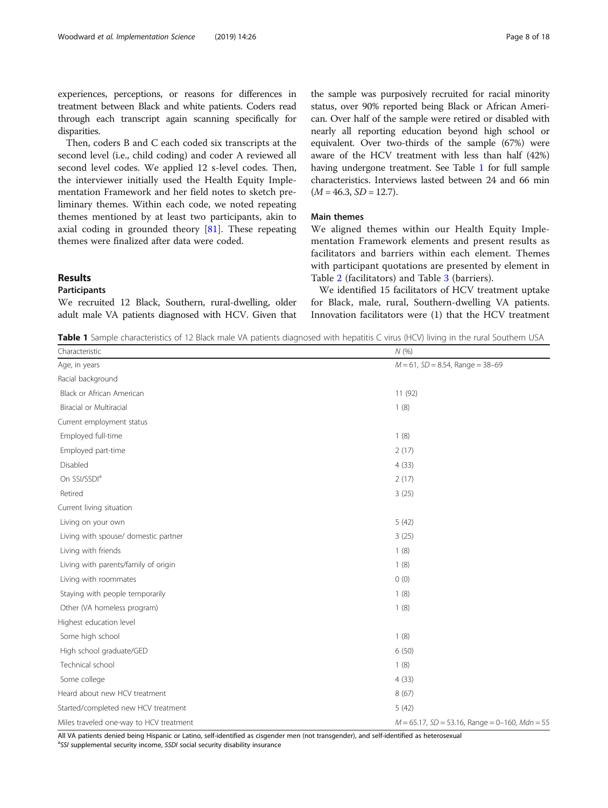experiences, perceptions, or reasons for differences in treatment between Black and white patients. Coders read through each transcript again scanning specifically for disparities.

Then, coders B and C each coded six transcripts at the second level (i.e., child coding) and coder A reviewed all second level codes. We applied 12 s-level codes. Then, the interviewer initially used the Health Equity Implementation Framework and her field notes to sketch preliminary themes. Within each code, we noted repeating themes mentioned by at least two participants, akin to axial coding in grounded theory [\[81](#page-17-0)]. These repeating themes were finalized after data were coded.

Results

# Participants

We recruited 12 Black, Southern, rural-dwelling, older adult male VA patients diagnosed with HCV. Given that

the sample was purposively recruited for racial minority status, over 90% reported being Black or African American. Over half of the sample were retired or disabled with nearly all reporting education beyond high school or equivalent. Over two-thirds of the sample (67%) were aware of the HCV treatment with less than half (42%) having undergone treatment. See Table 1 for full sample characteristics. Interviews lasted between 24 and 66 min  $(M = 46.3, SD = 12.7).$ 

# Main themes

We aligned themes within our Health Equity Implementation Framework elements and present results as facilitators and barriers within each element. Themes with participant quotations are presented by element in Table [2](#page-8-0) (facilitators) and Table [3](#page-10-0) (barriers).

We identified 15 facilitators of HCV treatment uptake for Black, male, rural, Southern-dwelling VA patients. Innovation facilitators were (1) that the HCV treatment

Table 1 Sample characteristics of 12 Black male VA patients diagnosed with hepatitis C virus (HCV) living in the rural Southern USA

| Characteristic                          | N(%                                               |  |  |  |
|-----------------------------------------|---------------------------------------------------|--|--|--|
| Age, in years                           | $M = 61$ , $SD = 8.54$ , Range = 38-69            |  |  |  |
| Racial background                       |                                                   |  |  |  |
| Black or African American               | 11(92)                                            |  |  |  |
| Biracial or Multiracial                 | 1(8)                                              |  |  |  |
| Current employment status               |                                                   |  |  |  |
| Employed full-time                      | 1(8)                                              |  |  |  |
| Employed part-time                      | 2(17)                                             |  |  |  |
| Disabled                                | 4(33)                                             |  |  |  |
| On SSI/SSDI <sup>a</sup>                | 2(17)                                             |  |  |  |
| Retired                                 | 3(25)                                             |  |  |  |
| Current living situation                |                                                   |  |  |  |
| Living on your own                      | 5(42)                                             |  |  |  |
| Living with spouse/ domestic partner    | 3(25)                                             |  |  |  |
| Living with friends                     | 1(8)                                              |  |  |  |
| Living with parents/family of origin    | 1(8)                                              |  |  |  |
| Living with roommates                   | 0(0)                                              |  |  |  |
| Staying with people temporarily         | 1(8)                                              |  |  |  |
| Other (VA homeless program)             | 1(8)                                              |  |  |  |
| Highest education level                 |                                                   |  |  |  |
| Some high school                        | 1(8)                                              |  |  |  |
| High school graduate/GED                | 6(50)                                             |  |  |  |
| Technical school                        | 1(8)                                              |  |  |  |
| Some college                            | 4(33)                                             |  |  |  |
| Heard about new HCV treatment           | 8(67)                                             |  |  |  |
| Started/completed new HCV treatment     | 5(42)                                             |  |  |  |
| Miles traveled one-way to HCV treatment | $M = 65.17$ , SD = 53.16, Range = 0-160, Mdn = 55 |  |  |  |

All VA patients denied being Hispanic or Latino, self-identified as cisgender men (not transgender), and self-identified as heterosexual

<sup>a</sup>SSI supplemental security income, SSDI social security disability insurance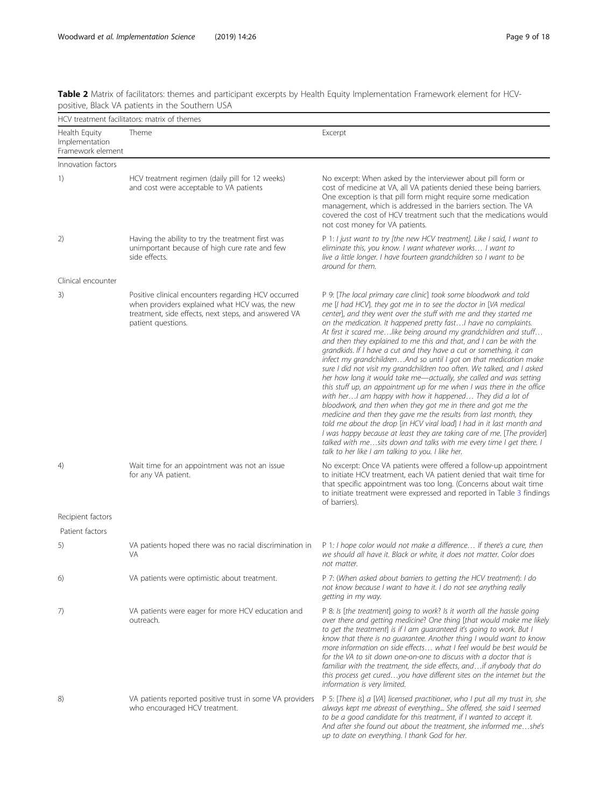<span id="page-8-0"></span>

| Table 2 Matrix of facilitators: themes and participant excerpts by Health Equity Implementation Framework element for HCV- |
|----------------------------------------------------------------------------------------------------------------------------|
| positive, Black VA patients in the Southern USA                                                                            |
|                                                                                                                            |

|                                                      | HCV treatment facilitators: matrix of themes                                                                                                                                        |                                                                                                                                                                                                                                                                                                                                                                                                                                                                                                                                                                                                                                                                                                                                                                                                                                                                                                                                                                                                                                                                                                                                                                                                                                                                                   |  |  |
|------------------------------------------------------|-------------------------------------------------------------------------------------------------------------------------------------------------------------------------------------|-----------------------------------------------------------------------------------------------------------------------------------------------------------------------------------------------------------------------------------------------------------------------------------------------------------------------------------------------------------------------------------------------------------------------------------------------------------------------------------------------------------------------------------------------------------------------------------------------------------------------------------------------------------------------------------------------------------------------------------------------------------------------------------------------------------------------------------------------------------------------------------------------------------------------------------------------------------------------------------------------------------------------------------------------------------------------------------------------------------------------------------------------------------------------------------------------------------------------------------------------------------------------------------|--|--|
| Health Equity<br>Implementation<br>Framework element | Theme                                                                                                                                                                               | Excerpt                                                                                                                                                                                                                                                                                                                                                                                                                                                                                                                                                                                                                                                                                                                                                                                                                                                                                                                                                                                                                                                                                                                                                                                                                                                                           |  |  |
| Innovation factors                                   |                                                                                                                                                                                     |                                                                                                                                                                                                                                                                                                                                                                                                                                                                                                                                                                                                                                                                                                                                                                                                                                                                                                                                                                                                                                                                                                                                                                                                                                                                                   |  |  |
| 1)                                                   | HCV treatment regimen (daily pill for 12 weeks)<br>and cost were acceptable to VA patients                                                                                          | No excerpt: When asked by the interviewer about pill form or<br>cost of medicine at VA, all VA patients denied these being barriers.<br>One exception is that pill form might require some medication<br>management, which is addressed in the barriers section. The VA<br>covered the cost of HCV treatment such that the medications would<br>not cost money for VA patients.                                                                                                                                                                                                                                                                                                                                                                                                                                                                                                                                                                                                                                                                                                                                                                                                                                                                                                   |  |  |
| 2)                                                   | Having the ability to try the treatment first was<br>unimportant because of high cure rate and few<br>side effects.                                                                 | P 1: I just want to try [the new HCV treatment]. Like I said, I want to<br>eliminate this, you know. I want whatever works I want to<br>live a little longer. I have fourteen grandchildren so I want to be<br>around for them.                                                                                                                                                                                                                                                                                                                                                                                                                                                                                                                                                                                                                                                                                                                                                                                                                                                                                                                                                                                                                                                   |  |  |
| Clinical encounter                                   |                                                                                                                                                                                     |                                                                                                                                                                                                                                                                                                                                                                                                                                                                                                                                                                                                                                                                                                                                                                                                                                                                                                                                                                                                                                                                                                                                                                                                                                                                                   |  |  |
| 3)                                                   | Positive clinical encounters regarding HCV occurred<br>when providers explained what HCV was, the new<br>treatment, side effects, next steps, and answered VA<br>patient questions. | P 9: [The local primary care clinic] took some bloodwork and told<br>me [I had HCV]. they got me in to see the doctor in [VA medical<br>center], and they went over the stuff with me and they started me<br>on the medication. It happened pretty fast I have no complaints.<br>At first it scared melike being around my grandchildren and stuff<br>and then they explained to me this and that, and I can be with the<br>grandkids. If I have a cut and they have a cut or something, it can<br>infect my grandchildrenAnd so until I got on that medication make<br>sure I did not visit my grandchildren too often. We talked, and I asked<br>her how long it would take me-actually, she called and was setting<br>this stuff up, an appointment up for me when I was there in the office<br>with her I am happy with how it happened They did a lot of<br>bloodwork, and then when they got me in there and got me the<br>medicine and then they gave me the results from last month, they<br>told me about the drop [in HCV viral load] I had in it last month and<br>I was happy because at least they are taking care of me. [The provider]<br>talked with mesits down and talks with me every time I get there. I<br>talk to her like I am talking to you. I like her. |  |  |
| 4)                                                   | Wait time for an appointment was not an issue<br>for any VA patient.                                                                                                                | No excerpt: Once VA patients were offered a follow-up appointment<br>to initiate HCV treatment, each VA patient denied that wait time for<br>that specific appointment was too long. (Concerns about wait time<br>to initiate treatment were expressed and reported in Table 3 findings<br>of barriers).                                                                                                                                                                                                                                                                                                                                                                                                                                                                                                                                                                                                                                                                                                                                                                                                                                                                                                                                                                          |  |  |
| Recipient factors                                    |                                                                                                                                                                                     |                                                                                                                                                                                                                                                                                                                                                                                                                                                                                                                                                                                                                                                                                                                                                                                                                                                                                                                                                                                                                                                                                                                                                                                                                                                                                   |  |  |
| Patient factors                                      |                                                                                                                                                                                     |                                                                                                                                                                                                                                                                                                                                                                                                                                                                                                                                                                                                                                                                                                                                                                                                                                                                                                                                                                                                                                                                                                                                                                                                                                                                                   |  |  |
| 5)                                                   | VA patients hoped there was no racial discrimination in<br><b>VA</b>                                                                                                                | P 1: I hope color would not make a difference If there's a cure, then<br>we should all have it. Black or white, it does not matter. Color does<br>not matter.                                                                                                                                                                                                                                                                                                                                                                                                                                                                                                                                                                                                                                                                                                                                                                                                                                                                                                                                                                                                                                                                                                                     |  |  |
| 6)                                                   | VA patients were optimistic about treatment.                                                                                                                                        | P 7: (When asked about barriers to getting the HCV treatment): I do<br>not know because I want to have it. I do not see anything really<br>getting in my way.                                                                                                                                                                                                                                                                                                                                                                                                                                                                                                                                                                                                                                                                                                                                                                                                                                                                                                                                                                                                                                                                                                                     |  |  |
| 7)                                                   | VA patients were eager for more HCV education and<br>outreach.                                                                                                                      | P 8: Is [the treatment] going to work? Is it worth all the hassle going<br>over there and getting medicine? One thing [that would make me likely<br>to get the treatment] is if I am guaranteed it's going to work. But I<br>know that there is no guarantee. Another thing I would want to know<br>more information on side effects what I feel would be best would be<br>for the VA to sit down one-on-one to discuss with a doctor that is<br>familiar with the treatment, the side effects, andif anybody that do<br>this process get curedyou have different sites on the internet but the<br>information is very limited.                                                                                                                                                                                                                                                                                                                                                                                                                                                                                                                                                                                                                                                   |  |  |
| 8)                                                   | VA patients reported positive trust in some VA providers<br>who encouraged HCV treatment.                                                                                           | P 5: [There is] a [VA] licensed practitioner, who I put all my trust in, she<br>always kept me abreast of everything She offered, she said I seemed<br>to be a good candidate for this treatment, if I wanted to accept it.<br>And after she found out about the treatment, she informed meshe's<br>up to date on everything. I thank God for her.                                                                                                                                                                                                                                                                                                                                                                                                                                                                                                                                                                                                                                                                                                                                                                                                                                                                                                                                |  |  |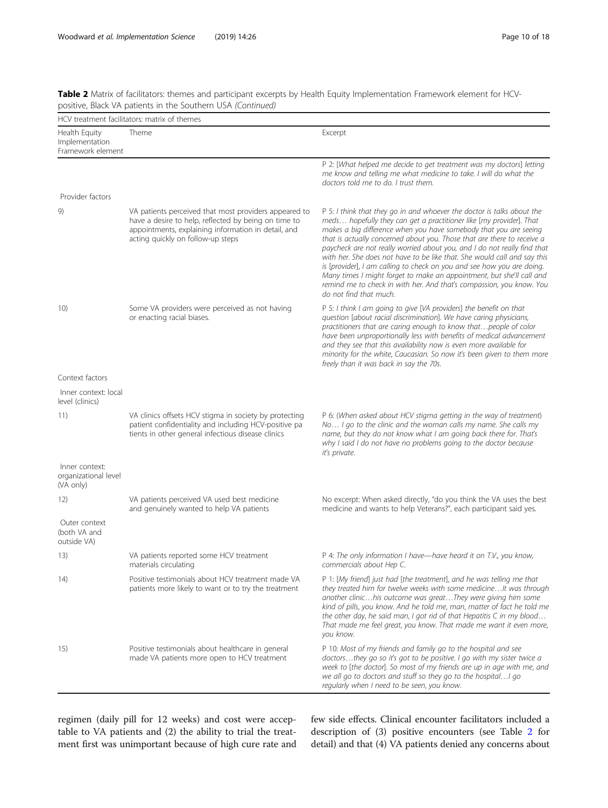| Table 2 Matrix of facilitators: themes and participant excerpts by Health Equity Implementation Framework element for HCV- |  |  |
|----------------------------------------------------------------------------------------------------------------------------|--|--|
| positive, Black VA patients in the Southern USA (Continued)                                                                |  |  |

|                                                      | HCV treatment facilitators: matrix of themes                                                                                                                                                              |                                                                                                                                                                                                                                                                                                                                                                                                                                                                                                                                                                                                                                                                                                            |  |  |
|------------------------------------------------------|-----------------------------------------------------------------------------------------------------------------------------------------------------------------------------------------------------------|------------------------------------------------------------------------------------------------------------------------------------------------------------------------------------------------------------------------------------------------------------------------------------------------------------------------------------------------------------------------------------------------------------------------------------------------------------------------------------------------------------------------------------------------------------------------------------------------------------------------------------------------------------------------------------------------------------|--|--|
| Health Equity<br>Implementation<br>Framework element | Theme                                                                                                                                                                                                     | Excerpt                                                                                                                                                                                                                                                                                                                                                                                                                                                                                                                                                                                                                                                                                                    |  |  |
|                                                      |                                                                                                                                                                                                           | P 2: [What helped me decide to get treatment was my doctors] letting<br>me know and telling me what medicine to take. I will do what the<br>doctors told me to do. I trust them.                                                                                                                                                                                                                                                                                                                                                                                                                                                                                                                           |  |  |
| Provider factors                                     |                                                                                                                                                                                                           |                                                                                                                                                                                                                                                                                                                                                                                                                                                                                                                                                                                                                                                                                                            |  |  |
| 9)                                                   | VA patients perceived that most providers appeared to<br>have a desire to help, reflected by being on time to<br>appointments, explaining information in detail, and<br>acting quickly on follow-up steps | P 5: I think that they go in and whoever the doctor is talks about the<br>meds hopefully they can get a practitioner like [my provider]. That<br>makes a big difference when you have somebody that you are seeing<br>that is actually concerned about you. Those that are there to receive a<br>paycheck are not really worried about you, and I do not really find that<br>with her. She does not have to be like that. She would call and say this<br>is [provider], I am calling to check on you and see how you are doing.<br>Many times I might forget to make an appointment, but she'll call and<br>remind me to check in with her. And that's compassion, you know. You<br>do not find that much. |  |  |
| 10)                                                  | Some VA providers were perceived as not having<br>or enacting racial biases.                                                                                                                              | P 5: I think I am going to give [VA providers] the benefit on that<br>question [about racial discrimination]. We have caring physicians,<br>practitioners that are caring enough to know that people of color<br>have been unproportionally less with benefits of medical advancement<br>and they see that this availability now is even more available for<br>minority for the white, Caucasian. So now it's been given to them more<br>freely than it was back in say the 70s.                                                                                                                                                                                                                           |  |  |
| Context factors                                      |                                                                                                                                                                                                           |                                                                                                                                                                                                                                                                                                                                                                                                                                                                                                                                                                                                                                                                                                            |  |  |
| Inner context: local<br>level (clinics)              |                                                                                                                                                                                                           |                                                                                                                                                                                                                                                                                                                                                                                                                                                                                                                                                                                                                                                                                                            |  |  |
| 11)                                                  | VA clinics offsets HCV stigma in society by protecting<br>patient confidentiality and including HCV-positive pa<br>tients in other general infectious disease clinics                                     | P 6: (When asked about HCV stigma getting in the way of treatment)<br>No I go to the clinic and the woman calls my name. She calls my<br>name, but they do not know what I am going back there for. That's<br>why I said I do not have no problems going to the doctor because<br>it's private.                                                                                                                                                                                                                                                                                                                                                                                                            |  |  |
| Inner context:<br>organizational level<br>(VA only)  |                                                                                                                                                                                                           |                                                                                                                                                                                                                                                                                                                                                                                                                                                                                                                                                                                                                                                                                                            |  |  |
| 12)                                                  | VA patients perceived VA used best medicine<br>and genuinely wanted to help VA patients                                                                                                                   | No excerpt: When asked directly, "do you think the VA uses the best<br>medicine and wants to help Veterans?", each participant said yes.                                                                                                                                                                                                                                                                                                                                                                                                                                                                                                                                                                   |  |  |
| Outer context<br>(both VA and<br>outside VA)         |                                                                                                                                                                                                           |                                                                                                                                                                                                                                                                                                                                                                                                                                                                                                                                                                                                                                                                                                            |  |  |
| 13)                                                  | VA patients reported some HCV treatment<br>materials circulating                                                                                                                                          | P 4: The only information I have—have heard it on T.V., you know,<br>commercials about Hep C.                                                                                                                                                                                                                                                                                                                                                                                                                                                                                                                                                                                                              |  |  |
| 14)                                                  | Positive testimonials about HCV treatment made VA<br>patients more likely to want or to try the treatment                                                                                                 | P 1: [My friend] just had [the treatment], and he was telling me that<br>they treated him for twelve weeks with some medicine It was through<br>another clinichis outcome was greatThey were giving him some<br>kind of pills, you know. And he told me, man, matter of fact he told me<br>the other day, he said man, I got rid of that Hepatitis C in my blood<br>That made me feel great, you know. That made me want it even more,<br>you know.                                                                                                                                                                                                                                                        |  |  |
| 15)                                                  | Positive testimonials about healthcare in general<br>made VA patients more open to HCV treatment                                                                                                          | P 10: Most of my friends and family go to the hospital and see<br>doctorsthey go so it's got to be positive. I go with my sister twice a<br>week to [the doctor]. So most of my friends are up in age with me, and<br>we all go to doctors and stuff so they go to the hospital I go<br>regularly when I need to be seen, you know.                                                                                                                                                                                                                                                                                                                                                                        |  |  |

regimen (daily pill for 12 weeks) and cost were acceptable to VA patients and (2) the ability to trial the treatment first was unimportant because of high cure rate and few side effects. Clinical encounter facilitators included a description of (3) positive encounters (see Table [2](#page-8-0) for detail) and that (4) VA patients denied any concerns about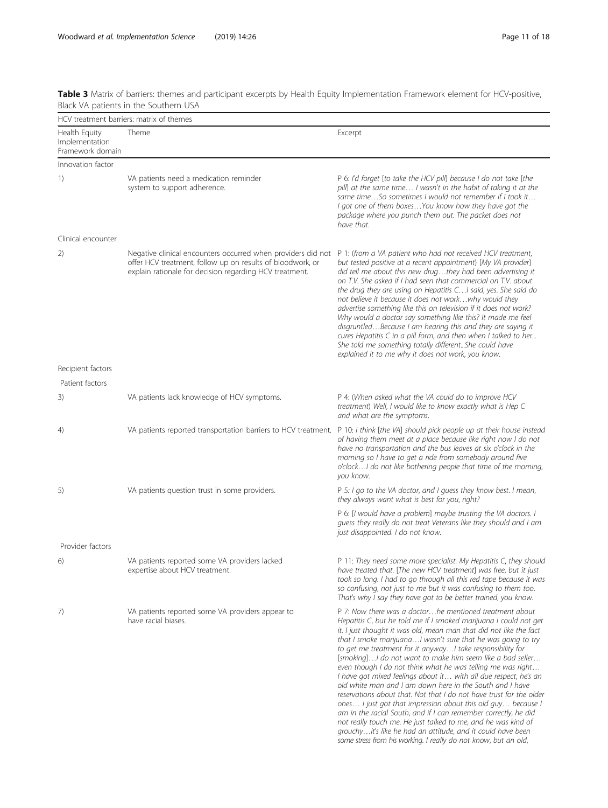<span id="page-10-0"></span>

|  |                                       |  | Table 3 Matrix of barriers: themes and participant excerpts by Health Equity Implementation Framework element for HCV-positive, |  |  |
|--|---------------------------------------|--|---------------------------------------------------------------------------------------------------------------------------------|--|--|
|  | Black VA patients in the Southern USA |  |                                                                                                                                 |  |  |

| HCV treatment barriers: matrix of themes            |                                                                                                                                                                                       |                                                                                                                                                                                                                                                                                                                                                                                                                                                                                                                                                                                                                                                                                                                                                                                                                                                                                                                                                                                                            |  |  |  |
|-----------------------------------------------------|---------------------------------------------------------------------------------------------------------------------------------------------------------------------------------------|------------------------------------------------------------------------------------------------------------------------------------------------------------------------------------------------------------------------------------------------------------------------------------------------------------------------------------------------------------------------------------------------------------------------------------------------------------------------------------------------------------------------------------------------------------------------------------------------------------------------------------------------------------------------------------------------------------------------------------------------------------------------------------------------------------------------------------------------------------------------------------------------------------------------------------------------------------------------------------------------------------|--|--|--|
| Health Equity<br>Implementation<br>Framework domain | Theme                                                                                                                                                                                 | Excerpt                                                                                                                                                                                                                                                                                                                                                                                                                                                                                                                                                                                                                                                                                                                                                                                                                                                                                                                                                                                                    |  |  |  |
| Innovation factor                                   |                                                                                                                                                                                       |                                                                                                                                                                                                                                                                                                                                                                                                                                                                                                                                                                                                                                                                                                                                                                                                                                                                                                                                                                                                            |  |  |  |
| 1)                                                  | VA patients need a medication reminder<br>system to support adherence.                                                                                                                | P 6: I'd forget [to take the HCV pill] because I do not take [the<br>pill] at the same time I wasn't in the habit of taking it at the<br>same timeSo sometimes I would not remember if I took it<br>I got one of them boxesYou know how they have got the<br>package where you punch them out. The packet does not<br>have that.                                                                                                                                                                                                                                                                                                                                                                                                                                                                                                                                                                                                                                                                           |  |  |  |
| Clinical encounter                                  |                                                                                                                                                                                       |                                                                                                                                                                                                                                                                                                                                                                                                                                                                                                                                                                                                                                                                                                                                                                                                                                                                                                                                                                                                            |  |  |  |
| 2)                                                  | Negative clinical encounters occurred when providers did not<br>offer HCV treatment, follow up on results of bloodwork, or<br>explain rationale for decision regarding HCV treatment. | P 1: (from a VA patient who had not received HCV treatment,<br>but tested positive at a recent appointment) [My VA provider]<br>did tell me about this new drugthey had been advertising it<br>on T.V. She asked if I had seen that commercial on T.V. about<br>the drug they are using on Hepatitis CI said, yes. She said do<br>not believe it because it does not workwhy would they<br>advertise something like this on television if it does not work?<br>Why would a doctor say something like this? It made me feel<br>disgruntledBecause I am hearing this and they are saying it<br>cures Hepatitis C in a pill form, and then when I talked to her<br>She told me something totally differentShe could have<br>explained it to me why it does not work, you know.                                                                                                                                                                                                                                |  |  |  |
| Recipient factors                                   |                                                                                                                                                                                       |                                                                                                                                                                                                                                                                                                                                                                                                                                                                                                                                                                                                                                                                                                                                                                                                                                                                                                                                                                                                            |  |  |  |
| Patient factors                                     |                                                                                                                                                                                       |                                                                                                                                                                                                                                                                                                                                                                                                                                                                                                                                                                                                                                                                                                                                                                                                                                                                                                                                                                                                            |  |  |  |
| 3)                                                  | VA patients lack knowledge of HCV symptoms.                                                                                                                                           | P 4: (When asked what the VA could do to improve HCV<br>treatment) Well, I would like to know exactly what is Hep C<br>and what are the symptoms.                                                                                                                                                                                                                                                                                                                                                                                                                                                                                                                                                                                                                                                                                                                                                                                                                                                          |  |  |  |
| 4)                                                  | VA patients reported transportation barriers to HCV treatment.                                                                                                                        | P 10: I think [the VA] should pick people up at their house instead<br>of having them meet at a place because like right now I do not<br>have no transportation and the bus leaves at six o'clock in the<br>morning so I have to get a ride from somebody around five<br>o'clockI do not like bothering people that time of the morning,<br>you know.                                                                                                                                                                                                                                                                                                                                                                                                                                                                                                                                                                                                                                                      |  |  |  |
| 5)                                                  | VA patients question trust in some providers.                                                                                                                                         | P 5: I go to the VA doctor, and I guess they know best. I mean,<br>they always want what is best for you, right?                                                                                                                                                                                                                                                                                                                                                                                                                                                                                                                                                                                                                                                                                                                                                                                                                                                                                           |  |  |  |
|                                                     |                                                                                                                                                                                       | P 6: [I would have a problem] maybe trusting the VA doctors. I<br>quess they really do not treat Veterans like they should and I am<br>just disappointed. I do not know.                                                                                                                                                                                                                                                                                                                                                                                                                                                                                                                                                                                                                                                                                                                                                                                                                                   |  |  |  |
| Provider factors                                    |                                                                                                                                                                                       |                                                                                                                                                                                                                                                                                                                                                                                                                                                                                                                                                                                                                                                                                                                                                                                                                                                                                                                                                                                                            |  |  |  |
| 6)                                                  | VA patients reported some VA providers lacked<br>expertise about HCV treatment.                                                                                                       | P 11: They need some more specialist. My Hepatitis C, they should<br>have treated that. [The new HCV treatment] was free, but it just<br>took so long. I had to go through all this red tape because it was<br>so confusing, not just to me but it was confusing to them too.<br>That's why I say they have got to be better trained, you know.                                                                                                                                                                                                                                                                                                                                                                                                                                                                                                                                                                                                                                                            |  |  |  |
| 7)                                                  | VA patients reported some VA providers appear to<br>have racial biases.                                                                                                               | P 7: Now there was a doctorhe mentioned treatment about<br>Hepatitis C, but he told me if I smoked marijuana I could not get<br>it. I just thought it was old, mean man that did not like the fact<br>that I smoke marijuanaI wasn't sure that he was going to try<br>to get me treatment for it anywayI take responsibility for<br>[smoking] I do not want to make him seem like a bad seller<br>even though I do not think what he was telling me was right<br>I have got mixed feelings about it with all due respect, he's an<br>old white man and I am down here in the South and I have<br>reservations about that. Not that I do not have trust for the older<br>ones I just got that impression about this old guy because I<br>am in the racial South, and if I can remember correctly, he did<br>not really touch me. He just talked to me, and he was kind of<br>grouchyit's like he had an attitude, and it could have been<br>some stress from his working. I really do not know, but an old, |  |  |  |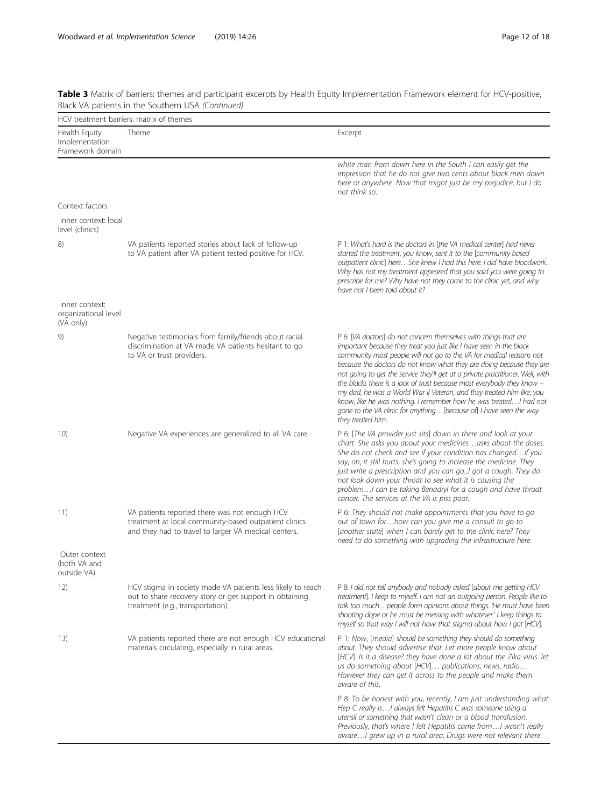|                                                     | HCV treatment barriers: matrix of themes                                                                                                                       |                                                                                                                                                                                                                                                                                                                                                                                                                                                                                                                                                                                                                                                                                              |
|-----------------------------------------------------|----------------------------------------------------------------------------------------------------------------------------------------------------------------|----------------------------------------------------------------------------------------------------------------------------------------------------------------------------------------------------------------------------------------------------------------------------------------------------------------------------------------------------------------------------------------------------------------------------------------------------------------------------------------------------------------------------------------------------------------------------------------------------------------------------------------------------------------------------------------------|
| Health Equity<br>Implementation<br>Framework domain | Theme                                                                                                                                                          | Excerpt                                                                                                                                                                                                                                                                                                                                                                                                                                                                                                                                                                                                                                                                                      |
|                                                     |                                                                                                                                                                | white man from down here in the South I can easily get the<br>impression that he do not give two cents about black men down<br>here or anywhere. Now that might just be my prejudice, but I do<br>not think so.                                                                                                                                                                                                                                                                                                                                                                                                                                                                              |
| Context factors                                     |                                                                                                                                                                |                                                                                                                                                                                                                                                                                                                                                                                                                                                                                                                                                                                                                                                                                              |
| Inner context: local<br>level (clinics)             |                                                                                                                                                                |                                                                                                                                                                                                                                                                                                                                                                                                                                                                                                                                                                                                                                                                                              |
| 8)                                                  | VA patients reported stories about lack of follow-up<br>to VA patient after VA patient tested positive for HCV.                                                | P 1: What's hard is the doctors in [the VA medical center] had never<br>started the treatment, you know, sent it to the [community based<br>outpatient clinic] hereShe knew I had this here. I did have bloodwork.<br>Why has not my treatment appeared that you said you were going to<br>prescribe for me? Why have not they come to the clinic yet, and why<br>have not I been told about it?                                                                                                                                                                                                                                                                                             |
| Inner context:<br>organizational level<br>(VA only) |                                                                                                                                                                |                                                                                                                                                                                                                                                                                                                                                                                                                                                                                                                                                                                                                                                                                              |
| 9)                                                  | Negative testimonials from family/friends about racial<br>discrimination at VA made VA patients hesitant to go<br>to VA or trust providers.                    | P 6: [VA doctors] do not concern themselves with things that are<br>important because they treat you just like I have seen in the black<br>community most people will not go to the VA for medical reasons not<br>because the doctors do not know what they are doing because they are<br>not going to get the service they'll get at a private practitioner. Well, with<br>the blacks there is a lack of trust because most everybody they know -<br>my dad, he was a World War II Veteran, and they treated him like, you<br>know, like he was nothing. I remember how he was treated I had not<br>gone to the VA clinic for anything[because of] I have seen the way<br>they treated him. |
| 10)                                                 | Negative VA experiences are generalized to all VA care.                                                                                                        | P 6: [The VA provider just sits] down in there and look at your<br>chart. She asks you about your medicinesasks about the doses.<br>She do not check and see if your condition has changedif you<br>say, oh, it still hurts, she's going to increase the medicine. They<br>just write a prescription and you can goI got a cough. They do<br>not look down your throat to see what it is causing the<br>problem I can be taking Benadryl for a cough and have throat<br>cancer. The services at the VA is piss poor.                                                                                                                                                                         |
| 11)                                                 | VA patients reported there was not enough HCV<br>treatment at local community-based outpatient clinics<br>and they had to travel to larger VA medical centers. | P 6: They should not make appointments that you have to go<br>out of town forhow can you give me a consult to go to<br>[another state] when I can barely get to the clinic here? They<br>need to do something with upgrading the infrastructure here.                                                                                                                                                                                                                                                                                                                                                                                                                                        |
| Outer context<br>(both VA and<br>outside VA)        |                                                                                                                                                                |                                                                                                                                                                                                                                                                                                                                                                                                                                                                                                                                                                                                                                                                                              |
| 12)                                                 | HCV stigma in society made VA patients less likely to reach<br>out to share recovery story or get support in obtaining<br>treatment (e.g., transportation).    | P 8: I did not tell anybody and nobody asked [about me getting HCV<br>treatment]. I keep to myself. I am not an outgoing person. People like to<br>talk too muchpeople form opinions about things. 'He must have been<br>shooting dope or he must be messing with whatever.' I keep things to<br>myself so that way I will not have that stigma about how I got [HCV].                                                                                                                                                                                                                                                                                                                       |
| 13)                                                 | VA patients reported there are not enough HCV educational<br>materials circulating, especially in rural areas.                                                 | P 1: Now, [media] should be something they should do something<br>about. They should advertise that. Let more people know about<br>[HCV]. Is it a disease? they have done a lot about the Zika virus. let<br>us do something about [HCV] publications, news, radio<br>However they can get it across to the people and make them<br>aware of this.                                                                                                                                                                                                                                                                                                                                           |
|                                                     |                                                                                                                                                                | P 8: To be honest with you, recently, I am just understanding what<br>Hep C really is I always felt Hepatitis C was someone using a<br>utensil or something that wasn't clean or a blood transfusion.<br>Previously, that's where I felt Hepatitis came from I wasn't really<br>aware I grew up in a rural area. Drugs were not relevant there.                                                                                                                                                                                                                                                                                                                                              |

Table 3 Matrix of barriers: themes and participant excerpts by Health Equity Implementation Framework element for HCV-positive, Black VA patients in the Southern USA (Continued)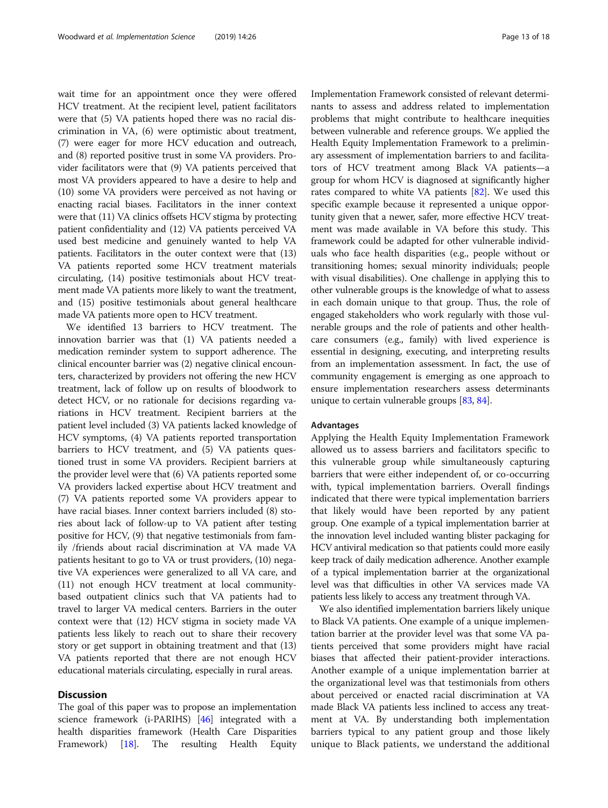wait time for an appointment once they were offered HCV treatment. At the recipient level, patient facilitators were that (5) VA patients hoped there was no racial discrimination in VA, (6) were optimistic about treatment, (7) were eager for more HCV education and outreach, and (8) reported positive trust in some VA providers. Provider facilitators were that (9) VA patients perceived that most VA providers appeared to have a desire to help and (10) some VA providers were perceived as not having or enacting racial biases. Facilitators in the inner context were that (11) VA clinics offsets HCV stigma by protecting patient confidentiality and (12) VA patients perceived VA used best medicine and genuinely wanted to help VA patients. Facilitators in the outer context were that (13) VA patients reported some HCV treatment materials circulating, (14) positive testimonials about HCV treatment made VA patients more likely to want the treatment, and (15) positive testimonials about general healthcare made VA patients more open to HCV treatment.

We identified 13 barriers to HCV treatment. The innovation barrier was that (1) VA patients needed a medication reminder system to support adherence. The clinical encounter barrier was (2) negative clinical encounters, characterized by providers not offering the new HCV treatment, lack of follow up on results of bloodwork to detect HCV, or no rationale for decisions regarding variations in HCV treatment. Recipient barriers at the patient level included (3) VA patients lacked knowledge of HCV symptoms, (4) VA patients reported transportation barriers to HCV treatment, and (5) VA patients questioned trust in some VA providers. Recipient barriers at the provider level were that (6) VA patients reported some VA providers lacked expertise about HCV treatment and (7) VA patients reported some VA providers appear to have racial biases. Inner context barriers included (8) stories about lack of follow-up to VA patient after testing positive for HCV, (9) that negative testimonials from family /friends about racial discrimination at VA made VA patients hesitant to go to VA or trust providers, (10) negative VA experiences were generalized to all VA care, and (11) not enough HCV treatment at local communitybased outpatient clinics such that VA patients had to travel to larger VA medical centers. Barriers in the outer context were that (12) HCV stigma in society made VA patients less likely to reach out to share their recovery story or get support in obtaining treatment and that (13) VA patients reported that there are not enough HCV educational materials circulating, especially in rural areas.

# **Discussion**

The goal of this paper was to propose an implementation science framework (i-PARIHS) [\[46](#page-16-0)] integrated with a health disparities framework (Health Care Disparities Framework) [\[18\]](#page-15-0). The resulting Health Equity

Implementation Framework consisted of relevant determinants to assess and address related to implementation problems that might contribute to healthcare inequities between vulnerable and reference groups. We applied the Health Equity Implementation Framework to a preliminary assessment of implementation barriers to and facilitators of HCV treatment among Black VA patients—a group for whom HCV is diagnosed at significantly higher rates compared to white VA patients [[82](#page-17-0)]. We used this specific example because it represented a unique opportunity given that a newer, safer, more effective HCV treatment was made available in VA before this study. This framework could be adapted for other vulnerable individuals who face health disparities (e.g., people without or transitioning homes; sexual minority individuals; people with visual disabilities). One challenge in applying this to other vulnerable groups is the knowledge of what to assess in each domain unique to that group. Thus, the role of engaged stakeholders who work regularly with those vulnerable groups and the role of patients and other healthcare consumers (e.g., family) with lived experience is essential in designing, executing, and interpreting results from an implementation assessment. In fact, the use of community engagement is emerging as one approach to ensure implementation researchers assess determinants unique to certain vulnerable groups [\[83,](#page-17-0) [84\]](#page-17-0).

## Advantages

Applying the Health Equity Implementation Framework allowed us to assess barriers and facilitators specific to this vulnerable group while simultaneously capturing barriers that were either independent of, or co-occurring with, typical implementation barriers. Overall findings indicated that there were typical implementation barriers that likely would have been reported by any patient group. One example of a typical implementation barrier at the innovation level included wanting blister packaging for HCV antiviral medication so that patients could more easily keep track of daily medication adherence. Another example of a typical implementation barrier at the organizational level was that difficulties in other VA services made VA patients less likely to access any treatment through VA.

We also identified implementation barriers likely unique to Black VA patients. One example of a unique implementation barrier at the provider level was that some VA patients perceived that some providers might have racial biases that affected their patient-provider interactions. Another example of a unique implementation barrier at the organizational level was that testimonials from others about perceived or enacted racial discrimination at VA made Black VA patients less inclined to access any treatment at VA. By understanding both implementation barriers typical to any patient group and those likely unique to Black patients, we understand the additional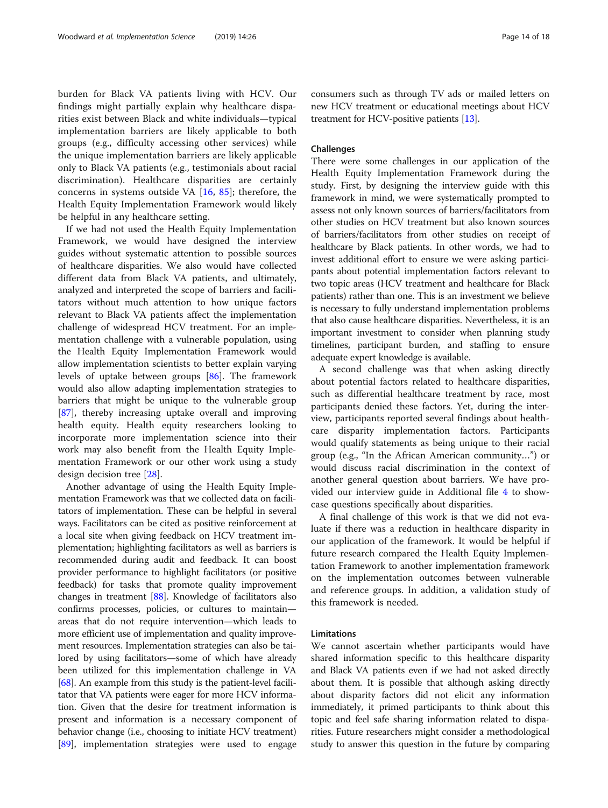burden for Black VA patients living with HCV. Our findings might partially explain why healthcare disparities exist between Black and white individuals—typical implementation barriers are likely applicable to both groups (e.g., difficulty accessing other services) while the unique implementation barriers are likely applicable only to Black VA patients (e.g., testimonials about racial discrimination). Healthcare disparities are certainly concerns in systems outside VA  $[16, 85]$  $[16, 85]$  $[16, 85]$  $[16, 85]$ ; therefore, the Health Equity Implementation Framework would likely be helpful in any healthcare setting.

If we had not used the Health Equity Implementation Framework, we would have designed the interview guides without systematic attention to possible sources of healthcare disparities. We also would have collected different data from Black VA patients, and ultimately, analyzed and interpreted the scope of barriers and facilitators without much attention to how unique factors relevant to Black VA patients affect the implementation challenge of widespread HCV treatment. For an implementation challenge with a vulnerable population, using the Health Equity Implementation Framework would allow implementation scientists to better explain varying levels of uptake between groups [[86\]](#page-17-0). The framework would also allow adapting implementation strategies to barriers that might be unique to the vulnerable group [[87\]](#page-17-0), thereby increasing uptake overall and improving health equity. Health equity researchers looking to incorporate more implementation science into their work may also benefit from the Health Equity Implementation Framework or our other work using a study design decision tree [[28\]](#page-15-0).

Another advantage of using the Health Equity Implementation Framework was that we collected data on facilitators of implementation. These can be helpful in several ways. Facilitators can be cited as positive reinforcement at a local site when giving feedback on HCV treatment implementation; highlighting facilitators as well as barriers is recommended during audit and feedback. It can boost provider performance to highlight facilitators (or positive feedback) for tasks that promote quality improvement changes in treatment [[88](#page-17-0)]. Knowledge of facilitators also confirms processes, policies, or cultures to maintain areas that do not require intervention—which leads to more efficient use of implementation and quality improvement resources. Implementation strategies can also be tailored by using facilitators—some of which have already been utilized for this implementation challenge in VA [[68](#page-16-0)]. An example from this study is the patient-level facilitator that VA patients were eager for more HCV information. Given that the desire for treatment information is present and information is a necessary component of behavior change (i.e., choosing to initiate HCV treatment) [[89](#page-17-0)], implementation strategies were used to engage

consumers such as through TV ads or mailed letters on new HCV treatment or educational meetings about HCV treatment for HCV-positive patients [\[13\]](#page-15-0).

# Challenges

There were some challenges in our application of the Health Equity Implementation Framework during the study. First, by designing the interview guide with this framework in mind, we were systematically prompted to assess not only known sources of barriers/facilitators from other studies on HCV treatment but also known sources of barriers/facilitators from other studies on receipt of healthcare by Black patients. In other words, we had to invest additional effort to ensure we were asking participants about potential implementation factors relevant to two topic areas (HCV treatment and healthcare for Black patients) rather than one. This is an investment we believe is necessary to fully understand implementation problems that also cause healthcare disparities. Nevertheless, it is an important investment to consider when planning study timelines, participant burden, and staffing to ensure adequate expert knowledge is available.

A second challenge was that when asking directly about potential factors related to healthcare disparities, such as differential healthcare treatment by race, most participants denied these factors. Yet, during the interview, participants reported several findings about healthcare disparity implementation factors. Participants would qualify statements as being unique to their racial group (e.g., "In the African American community…") or would discuss racial discrimination in the context of another general question about barriers. We have provided our interview guide in Additional file [4](#page-14-0) to showcase questions specifically about disparities.

A final challenge of this work is that we did not evaluate if there was a reduction in healthcare disparity in our application of the framework. It would be helpful if future research compared the Health Equity Implementation Framework to another implementation framework on the implementation outcomes between vulnerable and reference groups. In addition, a validation study of this framework is needed.

# Limitations

We cannot ascertain whether participants would have shared information specific to this healthcare disparity and Black VA patients even if we had not asked directly about them. It is possible that although asking directly about disparity factors did not elicit any information immediately, it primed participants to think about this topic and feel safe sharing information related to disparities. Future researchers might consider a methodological study to answer this question in the future by comparing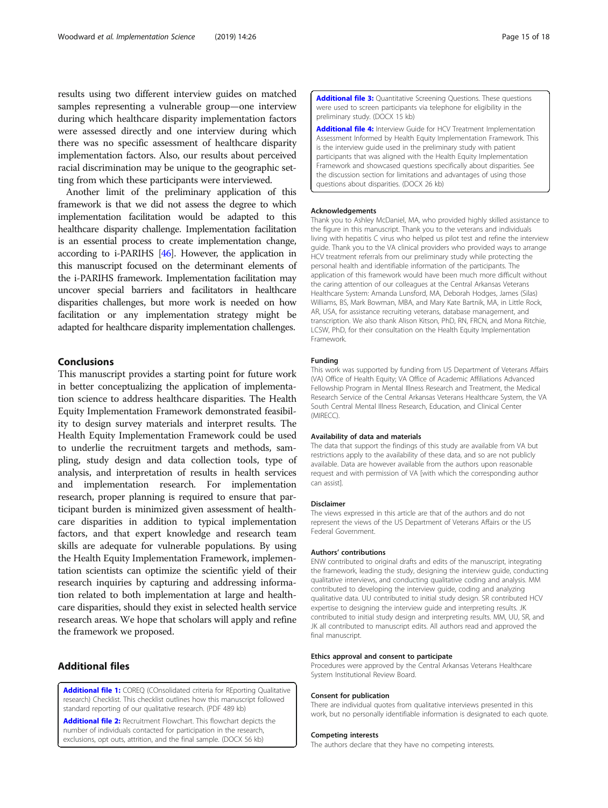<span id="page-14-0"></span>results using two different interview guides on matched samples representing a vulnerable group—one interview during which healthcare disparity implementation factors were assessed directly and one interview during which there was no specific assessment of healthcare disparity implementation factors. Also, our results about perceived racial discrimination may be unique to the geographic setting from which these participants were interviewed.

Another limit of the preliminary application of this framework is that we did not assess the degree to which implementation facilitation would be adapted to this healthcare disparity challenge. Implementation facilitation is an essential process to create implementation change, according to i-PARIHS [\[46\]](#page-16-0). However, the application in this manuscript focused on the determinant elements of the i-PARIHS framework. Implementation facilitation may uncover special barriers and facilitators in healthcare disparities challenges, but more work is needed on how facilitation or any implementation strategy might be adapted for healthcare disparity implementation challenges.

# Conclusions

This manuscript provides a starting point for future work in better conceptualizing the application of implementation science to address healthcare disparities. The Health Equity Implementation Framework demonstrated feasibility to design survey materials and interpret results. The Health Equity Implementation Framework could be used to underlie the recruitment targets and methods, sampling, study design and data collection tools, type of analysis, and interpretation of results in health services and implementation research. For implementation research, proper planning is required to ensure that participant burden is minimized given assessment of healthcare disparities in addition to typical implementation factors, and that expert knowledge and research team skills are adequate for vulnerable populations. By using the Health Equity Implementation Framework, implementation scientists can optimize the scientific yield of their research inquiries by capturing and addressing information related to both implementation at large and healthcare disparities, should they exist in selected health service research areas. We hope that scholars will apply and refine the framework we proposed.

# Additional files

[Additional file 1:](https://doi.org/10.1186/s13012-019-0861-y) COREQ (COnsolidated criteria for REporting Qualitative research) Checklist. This checklist outlines how this manuscript followed standard reporting of our qualitative research. (PDF 489 kb)

[Additional file 2:](https://doi.org/10.1186/s13012-019-0861-y) Recruitment Flowchart. This flowchart depicts the number of individuals contacted for participation in the research, exclusions, opt outs, attrition, and the final sample. (DOCX 56 kb)

[Additional file 3:](https://doi.org/10.1186/s13012-019-0861-y) Quantitative Screening Questions. These questions were used to screen participants via telephone for eligibility in the preliminary study. (DOCX 15 kb)

[Additional file 4:](https://doi.org/10.1186/s13012-019-0861-y) Interview Guide for HCV Treatment Implementation Assessment Informed by Health Equity Implementation Framework. This is the interview guide used in the preliminary study with patient participants that was aligned with the Health Equity Implementation Framework and showcased questions specifically about disparities. See the discussion section for limitations and advantages of using those questions about disparities. (DOCX 26 kb)

#### Acknowledgements

Thank you to Ashley McDaniel, MA, who provided highly skilled assistance to the figure in this manuscript. Thank you to the veterans and individuals living with hepatitis C virus who helped us pilot test and refine the interview guide. Thank you to the VA clinical providers who provided ways to arrange HCV treatment referrals from our preliminary study while protecting the personal health and identifiable information of the participants. The application of this framework would have been much more difficult without the caring attention of our colleagues at the Central Arkansas Veterans Healthcare System: Amanda Lunsford, MA, Deborah Hodges, James (Silas) Williams, BS, Mark Bowman, MBA, and Mary Kate Bartnik, MA, in Little Rock, AR, USA, for assistance recruiting veterans, database management, and transcription. We also thank Alison Kitson, PhD, RN, FRCN, and Mona Ritchie, LCSW, PhD, for their consultation on the Health Equity Implementation Framework.

#### Funding

This work was supported by funding from US Department of Veterans Affairs (VA) Office of Health Equity; VA Office of Academic Affiliations Advanced Fellowship Program in Mental Illness Research and Treatment, the Medical Research Service of the Central Arkansas Veterans Healthcare System, the VA South Central Mental Illness Research, Education, and Clinical Center (MIRECC).

#### Availability of data and materials

The data that support the findings of this study are available from VA but restrictions apply to the availability of these data, and so are not publicly available. Data are however available from the authors upon reasonable request and with permission of VA [with which the corresponding author can assist].

#### Disclaimer

The views expressed in this article are that of the authors and do not represent the views of the US Department of Veterans Affairs or the US Federal Government.

#### Authors' contributions

ENW contributed to original drafts and edits of the manuscript, integrating the framework, leading the study, designing the interview guide, conducting qualitative interviews, and conducting qualitative coding and analysis. MM contributed to developing the interview guide, coding and analyzing qualitative data. UU contributed to initial study design. SR contributed HCV expertise to designing the interview guide and interpreting results. JK contributed to initial study design and interpreting results. MM, UU, SR, and JK all contributed to manuscript edits. All authors read and approved the final manuscript.

#### Ethics approval and consent to participate

Procedures were approved by the Central Arkansas Veterans Healthcare System Institutional Review Board.

#### Consent for publication

There are individual quotes from qualitative interviews presented in this work, but no personally identifiable information is designated to each quote.

#### Competing interests

The authors declare that they have no competing interests.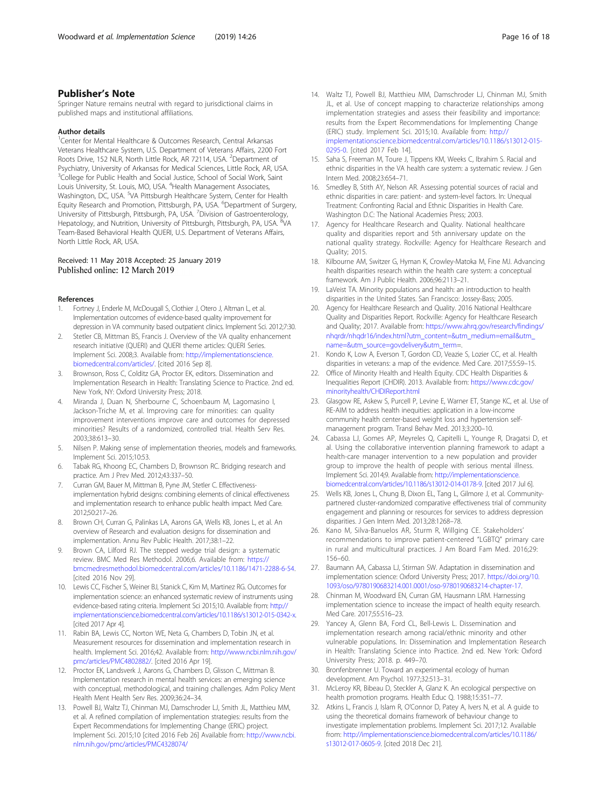# <span id="page-15-0"></span>Publisher's Note

Springer Nature remains neutral with regard to jurisdictional claims in published maps and institutional affiliations.

#### Author details

<sup>1</sup> Center for Mental Healthcare & Outcomes Research, Central Arkansas Veterans Healthcare System, U.S. Department of Veterans Affairs, 2200 Fort Roots Drive, 152 NLR, North Little Rock, AR 72114, USA. <sup>2</sup>Department of Psychiatry, University of Arkansas for Medical Sciences, Little Rock, AR, USA. <sup>3</sup>College for Public Health and Social Justice, School of Social Work, Saint Louis University, St. Louis, MO, USA. <sup>4</sup>Health Management Associates, Washington, DC, USA. <sup>5</sup>VA Pittsburgh Healthcare System, Center for Health Equity Research and Promotion, Pittsburgh, PA, USA. <sup>6</sup>Department of Surgery, University of Pittsburgh, Pittsburgh, PA, USA. <sup>7</sup> Division of Gastroenterology, Hepatology, and Nutrition, University of Pittsburgh, Pittsburgh, PA, USA. <sup>8</sup>VA Team-Based Behavioral Health QUERI, U.S. Department of Veterans Affairs, North Little Rock, AR, USA.

# Received: 11 May 2018 Accepted: 25 January 2019 Published online: 12 March 2019

#### References

- 1. Fortney J, Enderle M, McDougall S, Clothier J, Otero J, Altman L, et al. Implementation outcomes of evidence-based quality improvement for depression in VA community based outpatient clinics. Implement Sci. 2012;7:30.
- Stetler CB, Mittman BS, Francis J. Overview of the VA quality enhancement research initiative (QUERI) and QUERI theme articles: QUERI Series. Implement Sci. 2008;3. Available from: [http://implementationscience.](http://implementationscience.biomedcentral.com/articles/) [biomedcentral.com/articles/](http://implementationscience.biomedcentral.com/articles/). [cited 2016 Sep 8].
- 3. Brownson, Ross C, Colditz GA, Proctor EK, editors. Dissemination and Implementation Research in Health: Translating Science to Practice. 2nd ed. New York, NY: Oxford University Press; 2018.
- 4. Miranda J, Duan N, Sherbourne C, Schoenbaum M, Lagomasino I, Jackson-Triche M, et al. Improving care for minorities: can quality improvement interventions improve care and outcomes for depressed minorities? Results of a randomized, controlled trial. Health Serv Res. 2003;38:613–30.
- 5. Nilsen P. Making sense of implementation theories, models and frameworks. Implement Sci. 2015;10:53.
- 6. Tabak RG, Khoong EC, Chambers D, Brownson RC. Bridging research and practice. Am J Prev Med. 2012;43:337–50.
- 7. Curran GM, Bauer M, Mittman B, Pyne JM, Stetler C. Effectivenessimplementation hybrid designs: combining elements of clinical effectiveness and implementation research to enhance public health impact. Med Care. 2012;50:217–26.
- 8. Brown CH, Curran G, Palinkas LA, Aarons GA, Wells KB, Jones L, et al. An overview of Research and evaluation designs for dissemination and implementation. Annu Rev Public Health. 2017;38:1–22.
- 9. Brown CA, Lilford RJ. The stepped wedge trial design: a systematic review. BMC Med Res Methodol. 2006;6. Available from: [https://](https://bmcmedresmethodol.biomedcentral.com/articles/10.1186/1471-2288-6-54) [bmcmedresmethodol.biomedcentral.com/articles/10.1186/1471-2288-6-54](https://bmcmedresmethodol.biomedcentral.com/articles/10.1186/1471-2288-6-54). [cited 2016 Nov 29].
- Lewis CC, Fischer S, Weiner BJ, Stanick C, Kim M, Martinez RG. Outcomes for implementation science: an enhanced systematic review of instruments using evidence-based rating criteria. Implement Sci 2015;10. Available from: [http://](http://implementationscience.biomedcentral.com/articles/10.1186/s13012-015-0342-x) [implementationscience.biomedcentral.com/articles/10.1186/s13012-015-0342-x](http://implementationscience.biomedcentral.com/articles/10.1186/s13012-015-0342-x). [cited 2017 Apr 4].
- 11. Rabin BA, Lewis CC, Norton WE, Neta G, Chambers D, Tobin JN, et al. Measurement resources for dissemination and implementation research in health. Implement Sci. 2016;42. Available from: [http://www.ncbi.nlm.nih.gov/](http://www.ncbi.nlm.nih.gov/pmc/articles/PMC4802882/) [pmc/articles/PMC4802882/](http://www.ncbi.nlm.nih.gov/pmc/articles/PMC4802882/). [cited 2016 Apr 19].
- 12. Proctor EK, Landsverk J, Aarons G, Chambers D, Glisson C, Mittman B. Implementation research in mental health services: an emerging science with conceptual, methodological, and training challenges. Adm Policy Ment Health Ment Health Serv Res. 2009;36:24–34.
- 13. Powell BJ, Waltz TJ, Chinman MJ, Damschroder LJ, Smith JL, Matthieu MM, et al. A refined compilation of implementation strategies: results from the Expert Recommendations for Implementing Change (ERIC) project. Implement Sci. 2015;10 [cited 2016 Feb 26] Available from: [http://www.ncbi.](http://www.ncbi.nlm.nih.gov/pmc/articles/PMC4328074/) [nlm.nih.gov/pmc/articles/PMC4328074/](http://www.ncbi.nlm.nih.gov/pmc/articles/PMC4328074/)
- 14. Waltz TJ, Powell BJ, Matthieu MM, Damschroder LJ, Chinman MJ, Smith JL, et al. Use of concept mapping to characterize relationships among implementation strategies and assess their feasibility and importance: results from the Expert Recommendations for Implementing Change (ERIC) study. Implement Sci. 2015;10. Available from: [http://](http://implementationscience.biomedcentral.com/articles/10.1186/s13012-015-0295-0) [implementationscience.biomedcentral.com/articles/10.1186/s13012-015-](http://implementationscience.biomedcentral.com/articles/10.1186/s13012-015-0295-0) [0295-0](http://implementationscience.biomedcentral.com/articles/10.1186/s13012-015-0295-0). [cited 2017 Feb 14].
- 15. Saha S, Freeman M, Toure J, Tippens KM, Weeks C, Ibrahim S. Racial and ethnic disparities in the VA health care system: a systematic review. J Gen Intern Med. 2008;23:654–71.
- 16. Smedley B, Stith AY, Nelson AR. Assessing potential sources of racial and ethnic disparities in care: patient- and system-level factors. In: Unequal Treatment: Confronting Racial and Ethnic Disparities in Health Care. Washington D.C: The National Academies Press; 2003.
- 17. Agency for Healthcare Research and Quality. National healthcare quality and disparities report and 5th anniversary update on the national quality strategy. Rockville: Agency for Healthcare Research and Quality; 2015.
- 18. Kilbourne AM, Switzer G, Hyman K, Crowley-Matoka M, Fine MJ. Advancing health disparities research within the health care system: a conceptual framework. Am J Public Health. 2006;96:2113–21.
- 19. LaVeist TA. Minority populations and health: an introduction to health disparities in the United States. San Francisco: Jossey-Bass; 2005.
- 20. Agency for Healthcare Research and Quality. 2016 National Healthcare Quality and Disparities Report. Rockville: Agency for Healthcare Research and Quality; 2017. Available from: [https://www.ahrq.gov/research/findings/](https://www.ahrq.gov/research/findings/nhqrdr/nhqdr16/index.html?utm_content=&utm_medium=email&utm_name=&utm_source=govdelivery&utm_term) [nhqrdr/nhqdr16/index.html?utm\\_content=&utm\\_medium=email&utm\\_](https://www.ahrq.gov/research/findings/nhqrdr/nhqdr16/index.html?utm_content=&utm_medium=email&utm_name=&utm_source=govdelivery&utm_term) [name=&utm\\_source=govdelivery&utm\\_term=](https://www.ahrq.gov/research/findings/nhqrdr/nhqdr16/index.html?utm_content=&utm_medium=email&utm_name=&utm_source=govdelivery&utm_term).
- 21. Kondo K, Low A, Everson T, Gordon CD, Veazie S, Lozier CC, et al. Health disparities in veterans: a map of the evidence. Med Care. 2017;55:S9–15.
- 22. Office of Minority Health and Health Equity. CDC Health Disparities & Inequalities Report (CHDIR). 2013. Available from: [https://www.cdc.gov/](https://www.cdc.gov/minorityhealth/CHDIReport.html) [minorityhealth/CHDIReport.html](https://www.cdc.gov/minorityhealth/CHDIReport.html)
- 23. Glasgow RE, Askew S, Purcell P, Levine E, Warner ET, Stange KC, et al. Use of RE-AIM to address health inequities: application in a low-income community health center-based weight loss and hypertension selfmanagement program. Transl Behav Med. 2013;3:200–10.
- 24. Cabassa LJ, Gomes AP, Meyreles Q, Capitelli L, Younge R, Dragatsi D, et al. Using the collaborative intervention planning framework to adapt a health-care manager intervention to a new population and provider group to improve the health of people with serious mental illness. Implement Sci. 2014;9. Available from: [http://implementationscience.](http://implementationscience.biomedcentral.com/articles/10.1186/s13012-014-0178-9) [biomedcentral.com/articles/10.1186/s13012-014-0178-9](http://implementationscience.biomedcentral.com/articles/10.1186/s13012-014-0178-9). [cited 2017 Jul 6].
- 25. Wells KB, Jones L, Chung B, Dixon EL, Tang L, Gilmore J, et al. Communitypartnered cluster-randomized comparative effectiveness trial of community engagement and planning or resources for services to address depression disparities. J Gen Intern Med. 2013;28:1268–78.
- 26. Kano M, Silva-Banuelos AR, Sturm R, Willging CE. Stakeholders' recommendations to improve patient-centered "LGBTQ" primary care in rural and multicultural practices. J Am Board Fam Med. 2016;29: 156–60.
- 27. Baumann AA, Cabassa LJ, Stirman SW. Adaptation in dissemination and implementation science: Oxford University Press; 2017. [https://doi.org/10.](https://doi.org/10.1093/oso/9780190683214.001.0001/oso-9780190683214-chapter-17) [1093/oso/9780190683214.001.0001/oso-9780190683214-chapter-17.](https://doi.org/10.1093/oso/9780190683214.001.0001/oso-9780190683214-chapter-17)
- 28. Chinman M, Woodward EN, Curran GM, Hausmann LRM. Harnessing implementation science to increase the impact of health equity research. Med Care. 2017;55:S16–23.
- 29. Yancey A, Glenn BA, Ford CL, Bell-Lewis L. Dissemination and implementation research among racial/ethnic minority and other vulnerable populations. In: Dissemination and Implementation Research in Health: Translating Science into Practice. 2nd ed. New York: Oxford University Press; 2018. p. 449–70.
- 30. Bronfenbrenner U. Toward an experimental ecology of human development. Am Psychol. 1977;32:513–31.
- 31. McLeroy KR, Bibeau D, Steckler A, Glanz K. An ecological perspective on health promotion programs. Health Educ Q. 1988;15:351–77.
- 32. Atkins L, Francis J, Islam R, O'Connor D, Patey A, Ivers N, et al. A guide to using the theoretical domains framework of behaviour change to investigate implementation problems. Implement Sci. 2017;12. Available from: [http://implementationscience.biomedcentral.com/articles/10.1186/](http://implementationscience.biomedcentral.com/articles/10.1186/s13012-017-0605-9) [s13012-017-0605-9.](http://implementationscience.biomedcentral.com/articles/10.1186/s13012-017-0605-9) [cited 2018 Dec 21].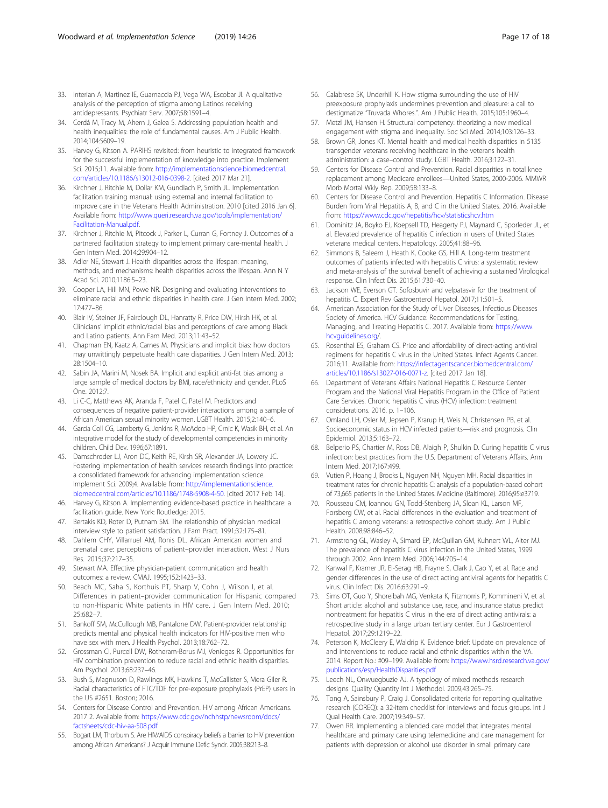- <span id="page-16-0"></span>33. Interian A, Martinez IE, Guarnaccia PJ, Vega WA, Escobar JI. A qualitative analysis of the perception of stigma among Latinos receiving antidepressants. Psychiatr Serv. 2007;58:1591–4.
- 34. Cerdá M, Tracy M, Ahern J, Galea S. Addressing population health and health inequalities: the role of fundamental causes. Am J Public Health. 2014;104:S609–19.
- 35. Harvey G, Kitson A. PARIHS revisited: from heuristic to integrated framework for the successful implementation of knowledge into practice. Implement Sci. 2015;11. Available from: [http://implementationscience.biomedcentral.](http://implementationscience.biomedcentral.com/articles/10.1186/s13012-016-0398-2) [com/articles/10.1186/s13012-016-0398-2](http://implementationscience.biomedcentral.com/articles/10.1186/s13012-016-0398-2). [cited 2017 Mar 21].
- 36. Kirchner J, Ritchie M, Dollar KM, Gundlach P, Smith JL. Implementation facilitation training manual: using external and internal facilitation to improve care in the Veterans Health Administration. 2010 [cited 2016 Jan 6]. Available from: [http://www.queri.research.va.gov/tools/implementation/](http://www.queri.research.va.gov/tools/implementation/Facilitation-Manual.pdf) [Facilitation-Manual.pdf.](http://www.queri.research.va.gov/tools/implementation/Facilitation-Manual.pdf)
- 37. Kirchner J, Ritchie M, Pitcock J, Parker L, Curran G, Fortney J. Outcomes of a partnered facilitation strategy to implement primary care-mental health. J Gen Intern Med. 2014;29:904–12.
- 38. Adler NE, Stewart J. Health disparities across the lifespan: meaning, methods, and mechanisms: health disparities across the lifespan. Ann N Y Acad Sci. 2010;1186:5–23.
- 39. Cooper LA, Hill MN, Powe NR. Designing and evaluating interventions to eliminate racial and ethnic disparities in health care. J Gen Intern Med. 2002; 17:477–86.
- 40. Blair IV, Steiner JF, Fairclough DL, Hanratty R, Price DW, Hirsh HK, et al. Clinicians' implicit ethnic/racial bias and perceptions of care among Black and Latino patients. Ann Fam Med. 2013;11:43–52.
- 41. Chapman EN, Kaatz A, Carnes M. Physicians and implicit bias: how doctors may unwittingly perpetuate health care disparities. J Gen Intern Med. 2013; 28:1504–10.
- 42. Sabin JA, Marini M, Nosek BA. Implicit and explicit anti-fat bias among a large sample of medical doctors by BMI, race/ethnicity and gender. PLoS One. 2012;7.
- 43. Li C-C, Matthews AK, Aranda F, Patel C, Patel M. Predictors and consequences of negative patient-provider interactions among a sample of African American sexual minority women. LGBT Health. 2015;2:140–6.
- 44. Garcia Coll CG, Lamberty G, Jenkins R, McAdoo HP, Crnic K, Wasik BH, et al. An integrative model for the study of developmental competencies in minority children. Child Dev. 1996;67:1891.
- 45. Damschroder LJ, Aron DC, Keith RE, Kirsh SR, Alexander JA, Lowery JC. Fostering implementation of health services research findings into practice: a consolidated framework for advancing implementation science. Implement Sci. 2009;4. Available from: [http://implementationscience.](http://implementationscience.biomedcentral.com/articles/10.1186/1748-5908-4-50) [biomedcentral.com/articles/10.1186/1748-5908-4-50](http://implementationscience.biomedcentral.com/articles/10.1186/1748-5908-4-50). [cited 2017 Feb 14].
- 46. Harvey G, Kitson A. Implementing evidence-based practice in healthcare: a facilitation guide. New York: Routledge; 2015.
- 47. Bertakis KD, Roter D, Putnam SM. The relationship of physician medical interview style to patient satisfaction. J Fam Pract. 1991;32:175–81.
- 48. Dahlem CHY, Villarruel AM, Ronis DL. African American women and prenatal care: perceptions of patient–provider interaction. West J Nurs Res. 2015;37:217–35.
- 49. Stewart MA. Effective physician-patient communication and health outcomes: a review. CMAJ. 1995;152:1423–33.
- 50. Beach MC, Saha S, Korthuis PT, Sharp V, Cohn J, Wilson I, et al. Differences in patient–provider communication for Hispanic compared to non-Hispanic White patients in HIV care. J Gen Intern Med. 2010; 25:682–7.
- 51. Bankoff SM, McCullough MB, Pantalone DW. Patient-provider relationship predicts mental and physical health indicators for HIV-positive men who have sex with men. J Health Psychol. 2013;18:762–72.
- 52. Grossman CI, Purcell DW, Rotheram-Borus MJ, Veniegas R. Opportunities for HIV combination prevention to reduce racial and ethnic health disparities. Am Psychol. 2013;68:237–46.
- 53. Bush S, Magnuson D, Rawlings MK, Hawkins T, McCallister S, Mera Giler R. Racial characteristics of FTC/TDF for pre-exposure prophylaxis (PrEP) users in the US #2651. Boston; 2016.
- 54. Centers for Disease Control and Prevention. HIV among African Americans. 2017 2. Available from: [https://www.cdc.gov/nchhstp/newsroom/docs/](https://www.cdc.gov/nchhstp/newsroom/docs/factsheets/cdc-hiv-aa-508.pdf) [factsheets/cdc-hiv-aa-508.pdf](https://www.cdc.gov/nchhstp/newsroom/docs/factsheets/cdc-hiv-aa-508.pdf)
- 55. Bogart LM, Thorburn S. Are HIV/AIDS conspiracy beliefs a barrier to HIV prevention among African Americans? J Acquir Immune Defic Syndr. 2005;38:213–8.
- 56. Calabrese SK, Underhill K. How stigma surrounding the use of HIV preexposure prophylaxis undermines prevention and pleasure: a call to destigmatize "Truvada Whores.". Am J Public Health. 2015;105:1960–4.
- 57. Metzl JM, Hansen H. Structural competency: theorizing a new medical engagement with stigma and inequality. Soc Sci Med. 2014;103:126–33.
- 58. Brown GR, Jones KT. Mental health and medical health disparities in 5135 transgender veterans receiving healthcare in the veterans health administration: a case–control study. LGBT Health. 2016;3:122–31.
- 59. Centers for Disease Control and Prevention. Racial disparities in total knee replacement among Medicare enrollees—United States, 2000-2006. MMWR Morb Mortal Wkly Rep. 2009;58:133–8.
- 60. Centers for Disease Control and Prevention. Hepatitis C Information. Disease Burden from Viral Hepatitis A, B, and C in the United States. 2016. Available from: <https://www.cdc.gov/hepatitis/hcv/statisticshcv.htm>
- 61. Dominitz JA, Boyko EJ, Koepsell TD, Heagerty PJ, Maynard C, Sporleder JL, et al. Elevated prevalence of hepatitis C infection in users of United States veterans medical centers. Hepatology. 2005;41:88–96.
- 62. Simmons B, Saleem J, Heath K, Cooke GS, Hill A. Long-term treatment outcomes of patients infected with hepatitis C virus: a systematic review and meta-analysis of the survival benefit of achieving a sustained Virological response. Clin Infect Dis. 2015;61:730–40.
- 63. Jackson WE, Everson GT. Sofosbuvir and velpatasvir for the treatment of hepatitis C. Expert Rev Gastroenterol Hepatol. 2017;11:501–5.
- 64. American Association for the Study of Liver Diseases, Infectious Diseases Society of America. HCV Guidance: Recommendations for Testing, Managing, and Treating Hepatitis C. 2017. Available from: [https://www.](https://www.hcvguidelines.org) [hcvguidelines.org/](https://www.hcvguidelines.org).
- 65. Rosenthal ES, Graham CS. Price and affordability of direct-acting antiviral regimens for hepatitis C virus in the United States. Infect Agents Cancer. 2016;11. Available from: [https://infectagentscancer.biomedcentral.com/](https://infectagentscancer.biomedcentral.com/articles/10.1186/s13027-016-0071-z) [articles/10.1186/s13027-016-0071-z](https://infectagentscancer.biomedcentral.com/articles/10.1186/s13027-016-0071-z). [cited 2017 Jan 18].
- 66. Department of Veterans Affairs National Hepatitis C Resource Center Program and the National Viral Hepatitis Program in the Office of Patient Care Services. Chronic hepatitis C virus (HCV) infection: treatment considerations. 2016. p. 1–106.
- 67. Omland LH, Osler M, Jepsen P, Krarup H, Weis N, Christensen PB, et al. Socioeconomic status in HCV infected patients—risk and prognosis. Clin Epidemiol. 2013;5:163–72.
- 68. Belperio PS, Chartier M, Ross DB, Alaigh P, Shulkin D. Curing hepatitis C virus infection: best practices from the U.S. Department of Veterans Affairs. Ann Intern Med. 2017;167:499.
- 69. Vutien P, Hoang J, Brooks L, Nguyen NH, Nguyen MH. Racial disparities in treatment rates for chronic hepatitis C: analysis of a population-based cohort of 73,665 patients in the United States. Medicine (Baltimore). 2016;95:e3719.
- 70. Rousseau CM, Ioannou GN, Todd-Stenberg JA, Sloan KL, Larson MF, Forsberg CW, et al. Racial differences in the evaluation and treatment of hepatitis C among veterans: a retrospective cohort study. Am J Public Health. 2008;98:846–52.
- 71. Armstrong GL, Wasley A, Simard EP, McQuillan GM, Kuhnert WL, Alter MJ. The prevalence of hepatitis C virus infection in the United States, 1999 through 2002. Ann Intern Med. 2006;144:705–14.
- 72. Kanwal F, Kramer JR, El-Serag HB, Frayne S, Clark J, Cao Y, et al. Race and gender differences in the use of direct acting antiviral agents for hepatitis C virus. Clin Infect Dis. 2016;63:291–9.
- 73. Sims OT, Guo Y, Shoreibah MG, Venkata K, Fitzmorris P, Kommineni V, et al. Short article: alcohol and substance use, race, and insurance status predict nontreatment for hepatitis C virus in the era of direct acting antivirals: a retrospective study in a large urban tertiary center. Eur J Gastroenterol Hepatol. 2017;29:1219–22.
- 74. Peterson K, McCleery E, Waldrip K. Evidence brief: Update on prevalence of and interventions to reduce racial and ethnic disparities within the VA. 2014. Report No.: #09–199. Available from: [https://www.hsrd.research.va.gov/](https://www.hsrd.research.va.gov/publications/esp/HealthDisparities.pdf) [publications/esp/HealthDisparities.pdf](https://www.hsrd.research.va.gov/publications/esp/HealthDisparities.pdf)
- 75. Leech NL, Onwuegbuzie AJ. A typology of mixed methods research designs. Quality Quantity Int J Methodol. 2009;43:265–75.
- 76. Tong A, Sainsbury P, Craig J. Consolidated criteria for reporting qualitative research (COREQ): a 32-item checklist for interviews and focus groups. Int J Qual Health Care. 2007;19:349–57.
- 77. Owen RR. Implementing a blended care model that integrates mental healthcare and primary care using telemedicine and care management for patients with depression or alcohol use disorder in small primary care